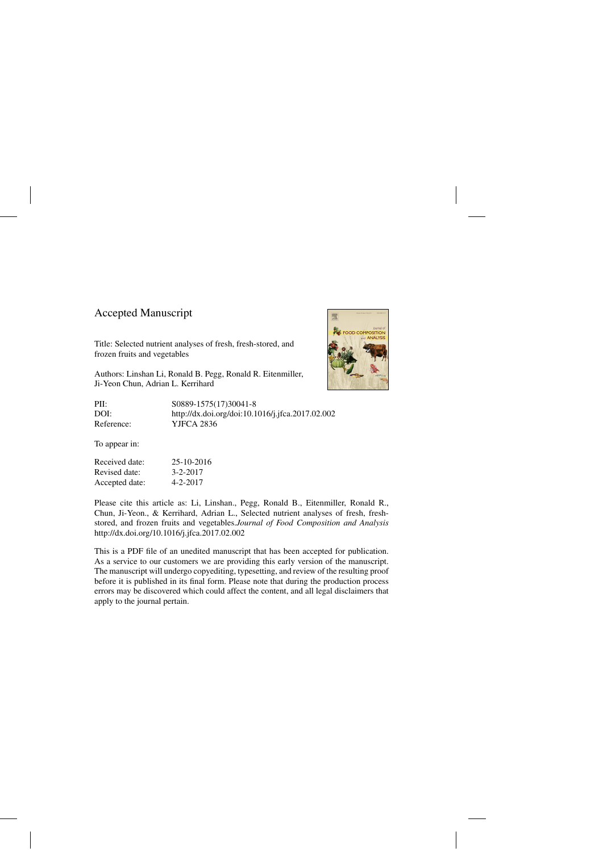### Accepted Manuscript

Title: Selected nutrient analyses of fresh, fresh-stored, and frozen fruits and vegetables

Authors: Linshan Li, Ronald B. Pegg, Ronald R. Eitenmiller, Ji-Yeon Chun, Adrian L. Kerrihard

PII: S0889-1575(17)30041-8 DOI:<http://dx.doi.org/doi:10.1016/j.jfca.2017.02.002> Reference: YJFCA 2836

To appear in:

Received date: 25-10-2016 Revised date: 3-2-2017 Accepted date: 4-2-2017

Please cite this article as: Li, Linshan., Pegg, Ronald B., Eitenmiller, Ronald R., Chun, Ji-Yeon., & Kerrihard, Adrian L., Selected nutrient analyses of fresh, freshstored, and frozen fruits and vegetables.*Journal of Food Composition and Analysis* <http://dx.doi.org/10.1016/j.jfca.2017.02.002>

This is a PDF file of an unedited manuscript that has been accepted for publication. As a service to our customers we are providing this early version of the manuscript. The manuscript will undergo copyediting, typesetting, and review of the resulting proof before it is published in its final form. Please note that during the production process errors may be discovered which could affect the content, and all legal disclaimers that apply to the journal pertain.

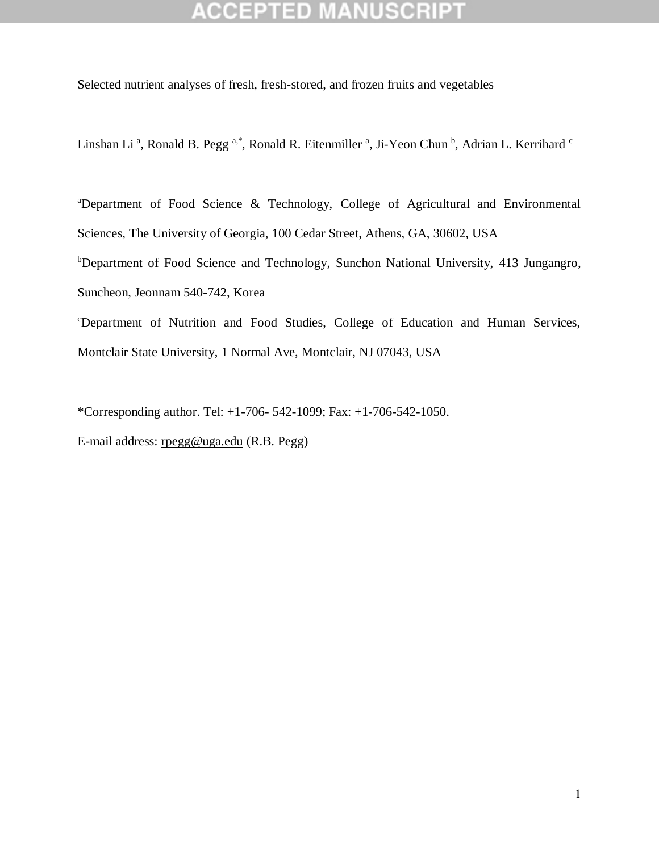# **CCEPTED MANUSCRI**

Selected nutrient analyses of fresh, fresh-stored, and frozen fruits and vegetables

Linshan Li<sup>a</sup>, Ronald B. Pegg<sup>a,\*</sup>, Ronald R. Eitenmiller<sup>a</sup>, Ji-Yeon Chun<sup>b</sup>, Adrian L. Kerrihard <sup>c</sup>

<sup>a</sup>Department of Food Science & Technology, College of Agricultural and Environmental Sciences, The University of Georgia, 100 Cedar Street, Athens, GA, 30602, USA bDepartment of Food Science and Technology, Sunchon National University, 413 Jungangro, Suncheon, Jeonnam 540-742, Korea <sup>c</sup>Department of Nutrition and Food Studies, College of Education and Human Services,

Montclair State University, 1 Normal Ave, Montclair, NJ 07043, USA

\*Corresponding author. Tel: +1-706- 542-1099; Fax: +1-706-542-1050.

E-mail address: [rpegg@uga.edu](mailto:rpegg@uga.edu) (R.B. Pegg)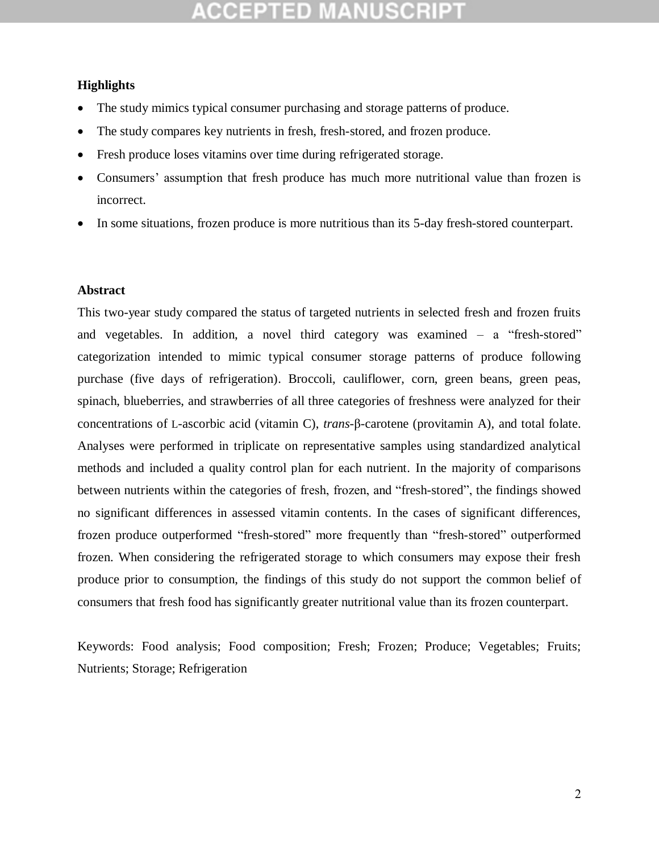# COEPTED MANUSCR

### **Highlights**

- The study mimics typical consumer purchasing and storage patterns of produce.
- The study compares key nutrients in fresh, fresh-stored, and frozen produce.
- Fresh produce loses vitamins over time during refrigerated storage.
- Consumers' assumption that fresh produce has much more nutritional value than frozen is incorrect.
- In some situations, frozen produce is more nutritious than its 5-day fresh-stored counterpart.

### **Abstract**

This two-year study compared the status of targeted nutrients in selected fresh and frozen fruits and vegetables. In addition, a novel third category was examined – a "fresh-stored" categorization intended to mimic typical consumer storage patterns of produce following purchase (five days of refrigeration). Broccoli, cauliflower, corn, green beans, green peas, spinach, blueberries, and strawberries of all three categories of freshness were analyzed for their concentrations of L-ascorbic acid (vitamin C), *trans*-β-carotene (provitamin A), and total folate. Analyses were performed in triplicate on representative samples using standardized analytical methods and included a quality control plan for each nutrient. In the majority of comparisons between nutrients within the categories of fresh, frozen, and "fresh-stored", the findings showed no significant differences in assessed vitamin contents. In the cases of significant differences, frozen produce outperformed "fresh-stored" more frequently than "fresh-stored" outperformed frozen. When considering the refrigerated storage to which consumers may expose their fresh produce prior to consumption, the findings of this study do not support the common belief of consumers that fresh food has significantly greater nutritional value than its frozen counterpart.

Keywords: Food analysis; Food composition; Fresh; Frozen; Produce; Vegetables; Fruits; Nutrients; Storage; Refrigeration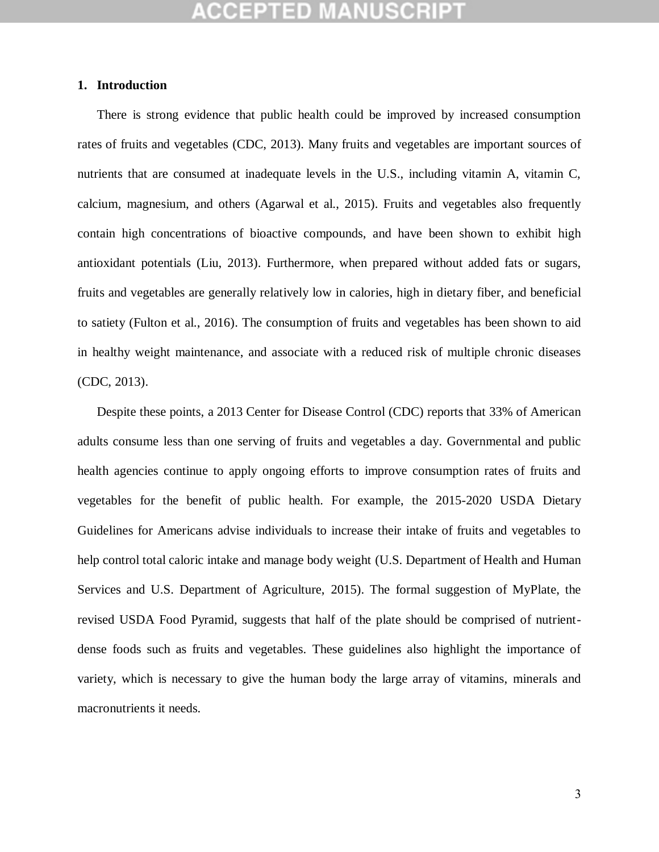### **1. Introduction**

There is strong evidence that public health could be improved by increased consumption rates of fruits and vegetables (CDC, 2013). Many fruits and vegetables are important sources of nutrients that are consumed at inadequate levels in the U.S., including vitamin A, vitamin C, calcium, magnesium, and others (Agarwal et al., 2015). Fruits and vegetables also frequently contain high concentrations of bioactive compounds, and have been shown to exhibit high antioxidant potentials (Liu, 2013). Furthermore, when prepared without added fats or sugars, fruits and vegetables are generally relatively low in calories, high in dietary fiber, and beneficial to satiety (Fulton et al., 2016). The consumption of fruits and vegetables has been shown to aid in healthy weight maintenance, and associate with a reduced risk of multiple chronic diseases (CDC, 2013).

Despite these points, a 2013 Center for Disease Control (CDC) reports that 33% of American adults consume less than one serving of fruits and vegetables a day. Governmental and public health agencies continue to apply ongoing efforts to improve consumption rates of fruits and vegetables for the benefit of public health. For example, the 2015-2020 USDA Dietary Guidelines for Americans advise individuals to increase their intake of fruits and vegetables to help control total caloric intake and manage body weight (U.S. Department of Health and Human Services and U.S. Department of Agriculture, 2015). The formal suggestion of MyPlate, the revised USDA Food Pyramid, suggests that half of the plate should be comprised of nutrientdense foods such as fruits and vegetables. These guidelines also highlight the importance of variety, which is necessary to give the human body the large array of vitamins, minerals and macronutrients it needs.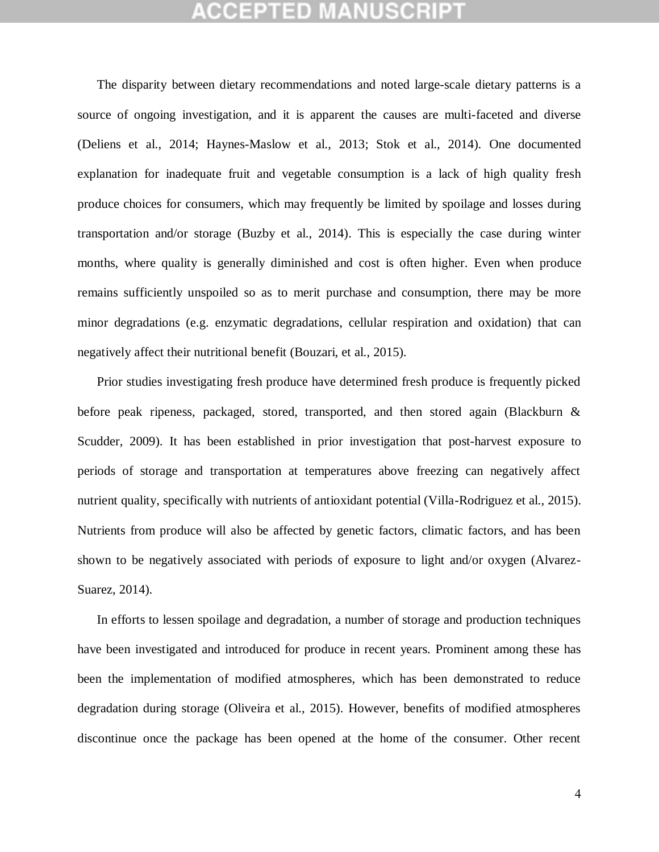The disparity between dietary recommendations and noted large-scale dietary patterns is a source of ongoing investigation, and it is apparent the causes are multi-faceted and diverse (Deliens et al., 2014; Haynes-Maslow et al., 2013; Stok et al., 2014). One documented explanation for inadequate fruit and vegetable consumption is a lack of high quality fresh produce choices for consumers, which may frequently be limited by spoilage and losses during transportation and/or storage (Buzby et al., 2014). This is especially the case during winter months, where quality is generally diminished and cost is often higher. Even when produce remains sufficiently unspoiled so as to merit purchase and consumption, there may be more minor degradations (e.g. enzymatic degradations, cellular respiration and oxidation) that can negatively affect their nutritional benefit (Bouzari, et al., 2015).

Prior studies investigating fresh produce have determined fresh produce is frequently picked before peak ripeness, packaged, stored, transported, and then stored again (Blackburn & Scudder, 2009). It has been established in prior investigation that post-harvest exposure to periods of storage and transportation at temperatures above freezing can negatively affect nutrient quality, specifically with nutrients of antioxidant potential (Villa-Rodriguez et al., 2015). Nutrients from produce will also be affected by genetic factors, climatic factors, and has been shown to be negatively associated with periods of exposure to light and/or oxygen (Alvarez-Suarez, 2014).

In efforts to lessen spoilage and degradation, a number of storage and production techniques have been investigated and introduced for produce in recent years. Prominent among these has been the implementation of modified atmospheres, which has been demonstrated to reduce degradation during storage (Oliveira et al., 2015). However, benefits of modified atmospheres discontinue once the package has been opened at the home of the consumer. Other recent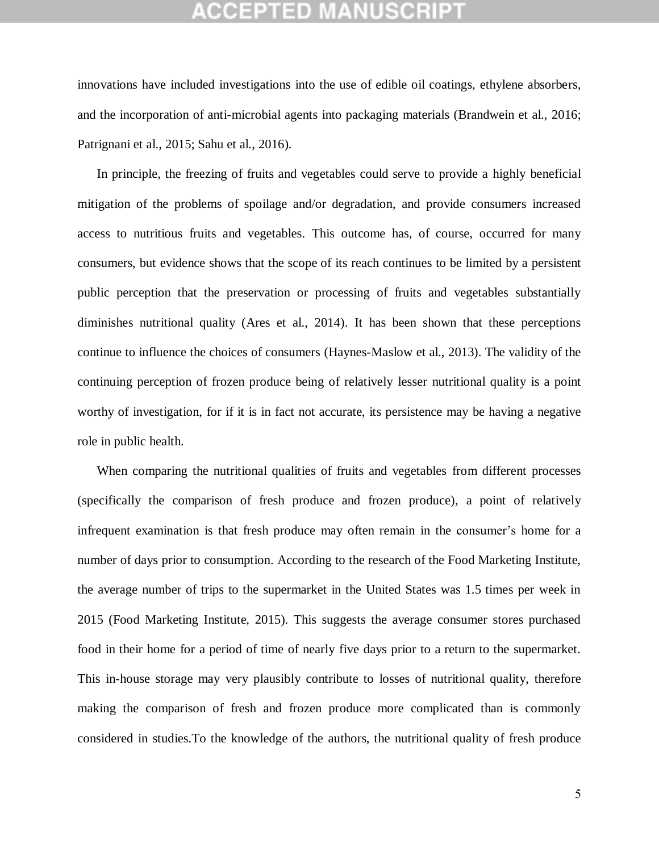innovations have included investigations into the use of edible oil coatings, ethylene absorbers, and the incorporation of anti-microbial agents into packaging materials (Brandwein et al., 2016; Patrignani et al., 2015; Sahu et al., 2016).

In principle, the freezing of fruits and vegetables could serve to provide a highly beneficial mitigation of the problems of spoilage and/or degradation, and provide consumers increased access to nutritious fruits and vegetables. This outcome has, of course, occurred for many consumers, but evidence shows that the scope of its reach continues to be limited by a persistent public perception that the preservation or processing of fruits and vegetables substantially diminishes nutritional quality (Ares et al., 2014). It has been shown that these perceptions continue to influence the choices of consumers (Haynes-Maslow et al., 2013). The validity of the continuing perception of frozen produce being of relatively lesser nutritional quality is a point worthy of investigation, for if it is in fact not accurate, its persistence may be having a negative role in public health.

When comparing the nutritional qualities of fruits and vegetables from different processes (specifically the comparison of fresh produce and frozen produce), a point of relatively infrequent examination is that fresh produce may often remain in the consumer's home for a number of days prior to consumption. According to the research of the Food Marketing Institute, the average number of trips to the supermarket in the United States was 1.5 times per week in 2015 (Food Marketing Institute, 2015). This suggests the average consumer stores purchased food in their home for a period of time of nearly five days prior to a return to the supermarket. This in-house storage may very plausibly contribute to losses of nutritional quality, therefore making the comparison of fresh and frozen produce more complicated than is commonly considered in studies.To the knowledge of the authors, the nutritional quality of fresh produce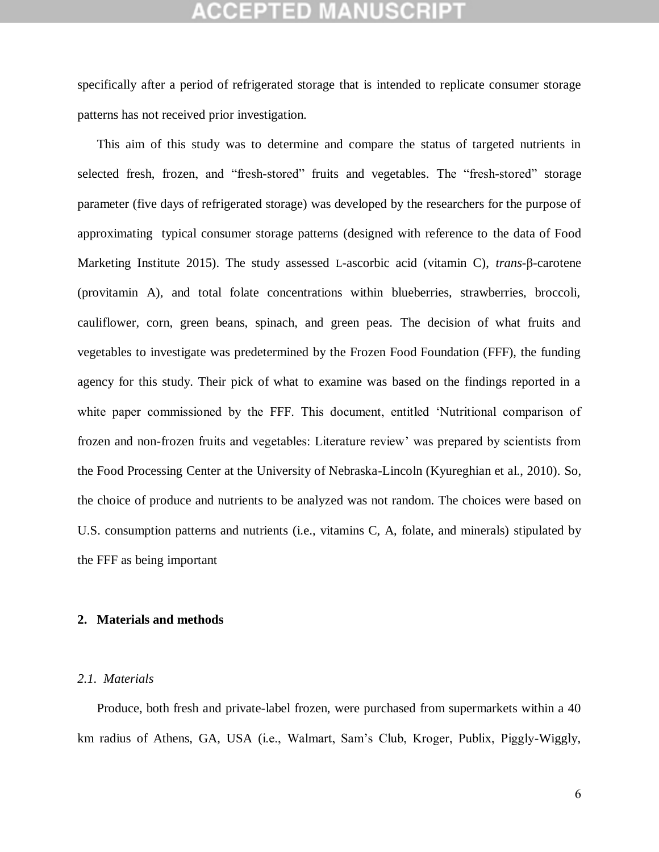specifically after a period of refrigerated storage that is intended to replicate consumer storage patterns has not received prior investigation.

This aim of this study was to determine and compare the status of targeted nutrients in selected fresh, frozen, and "fresh-stored" fruits and vegetables. The "fresh-stored" storage parameter (five days of refrigerated storage) was developed by the researchers for the purpose of approximating typical consumer storage patterns (designed with reference to the data of Food Marketing Institute 2015). The study assessed L-ascorbic acid (vitamin C), *trans*-β-carotene (provitamin A), and total folate concentrations within blueberries, strawberries, broccoli, cauliflower, corn, green beans, spinach, and green peas. The decision of what fruits and vegetables to investigate was predetermined by the Frozen Food Foundation (FFF), the funding agency for this study. Their pick of what to examine was based on the findings reported in a white paper commissioned by the FFF. This document, entitled 'Nutritional comparison of frozen and non-frozen fruits and vegetables: Literature review' was prepared by scientists from the Food Processing Center at the University of Nebraska-Lincoln (Kyureghian et al., 2010). So, the choice of produce and nutrients to be analyzed was not random. The choices were based on U.S. consumption patterns and nutrients (i.e., vitamins C, A, folate, and minerals) stipulated by the FFF as being important

#### **2. Materials and methods**

#### *2.1. Materials*

Produce, both fresh and private-label frozen, were purchased from supermarkets within a 40 km radius of Athens, GA, USA (i.e., Walmart, Sam's Club, Kroger, Publix, Piggly-Wiggly,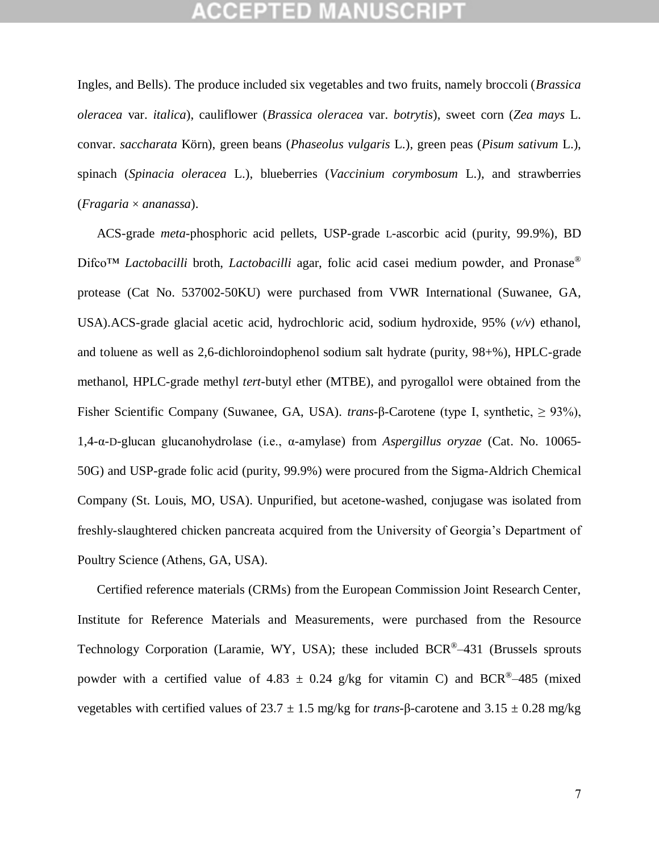Ingles, and Bells). The produce included six vegetables and two fruits, namely broccoli (*Brassica oleracea* var. *italica*), cauliflower (*Brassica oleracea* var. *botrytis*), sweet corn (*Zea mays* L. convar. *saccharata* Körn), green beans (*Phaseolus vulgaris* L.), green peas (*Pisum sativum* L.), spinach (*Spinacia oleracea* L.), blueberries (*Vaccinium corymbosum* L.), and strawberries (*Fragaria* × *ananassa*).

ACS-grade *meta*-phosphoric acid pellets, USP-grade L-ascorbic acid (purity, 99.9%), BD Difco<sup>™</sup> *Lactobacilli* broth, *Lactobacilli* agar, folic acid casei medium powder, and Pronase<sup>®</sup> protease (Cat No. 537002-50KU) were purchased from VWR International (Suwanee, GA, USA).ACS-grade glacial acetic acid, hydrochloric acid, sodium hydroxide, 95% (*v/v*) ethanol, and toluene as well as 2,6-dichloroindophenol sodium salt hydrate (purity, 98+%), HPLC-grade methanol, HPLC-grade methyl *tert*-butyl ether (MTBE), and pyrogallol were obtained from the Fisher Scientific Company (Suwanee, GA, USA). *trans*-β-Carotene (type I, synthetic, ≥ 93%), 1,4-α-D-glucan glucanohydrolase (i.e., α-amylase) from *Aspergillus oryzae* (Cat. No. 10065- 50G) and USP-grade folic acid (purity, 99.9%) were procured from the Sigma-Aldrich Chemical Company (St. Louis, MO, USA). Unpurified, but acetone-washed, conjugase was isolated from freshly-slaughtered chicken pancreata acquired from the University of Georgia's Department of Poultry Science (Athens, GA, USA).

Certified reference materials (CRMs) from the European Commission Joint Research Center, Institute for Reference Materials and Measurements, were purchased from the Resource Technology Corporation (Laramie, WY, USA); these included BCR®–431 (Brussels sprouts powder with a certified value of 4.83  $\pm$  0.24 g/kg for vitamin C) and BCR®–485 (mixed vegetables with certified values of 23.7 ± 1.5 mg/kg for *trans*-β-carotene and 3.15 ± 0.28 mg/kg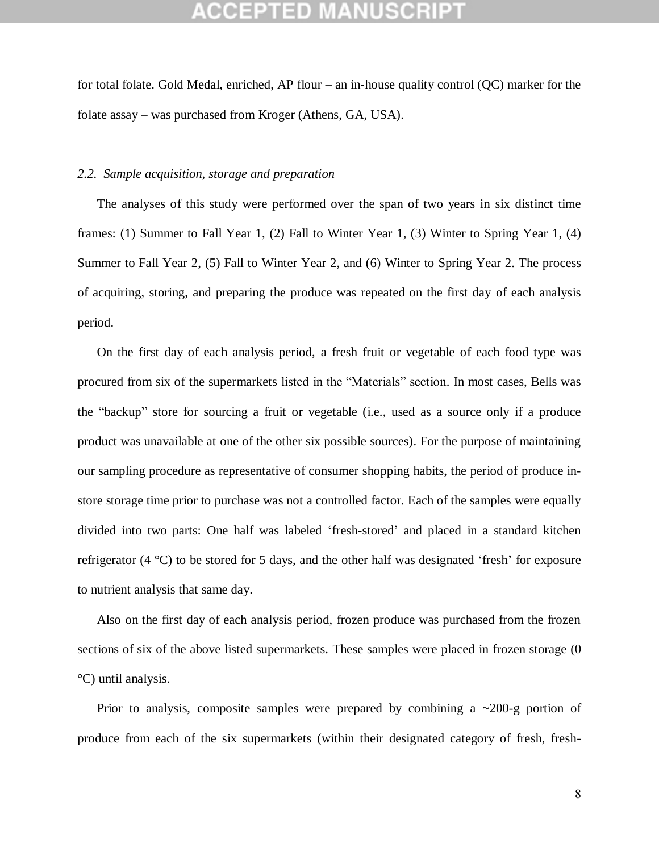for total folate. Gold Medal, enriched, AP flour – an in-house quality control (QC) marker for the folate assay – was purchased from Kroger (Athens, GA, USA).

#### *2.2. Sample acquisition, storage and preparation*

The analyses of this study were performed over the span of two years in six distinct time frames: (1) Summer to Fall Year 1, (2) Fall to Winter Year 1, (3) Winter to Spring Year 1, (4) Summer to Fall Year 2, (5) Fall to Winter Year 2, and (6) Winter to Spring Year 2. The process of acquiring, storing, and preparing the produce was repeated on the first day of each analysis period.

On the first day of each analysis period, a fresh fruit or vegetable of each food type was procured from six of the supermarkets listed in the "Materials" section. In most cases, Bells was the "backup" store for sourcing a fruit or vegetable (i.e., used as a source only if a produce product was unavailable at one of the other six possible sources). For the purpose of maintaining our sampling procedure as representative of consumer shopping habits, the period of produce instore storage time prior to purchase was not a controlled factor. Each of the samples were equally divided into two parts: One half was labeled 'fresh-stored' and placed in a standard kitchen refrigerator (4 °C) to be stored for 5 days, and the other half was designated 'fresh' for exposure to nutrient analysis that same day.

Also on the first day of each analysis period, frozen produce was purchased from the frozen sections of six of the above listed supermarkets. These samples were placed in frozen storage (0 °C) until analysis.

Prior to analysis, composite samples were prepared by combining a  $\sim$ 200-g portion of produce from each of the six supermarkets (within their designated category of fresh, fresh-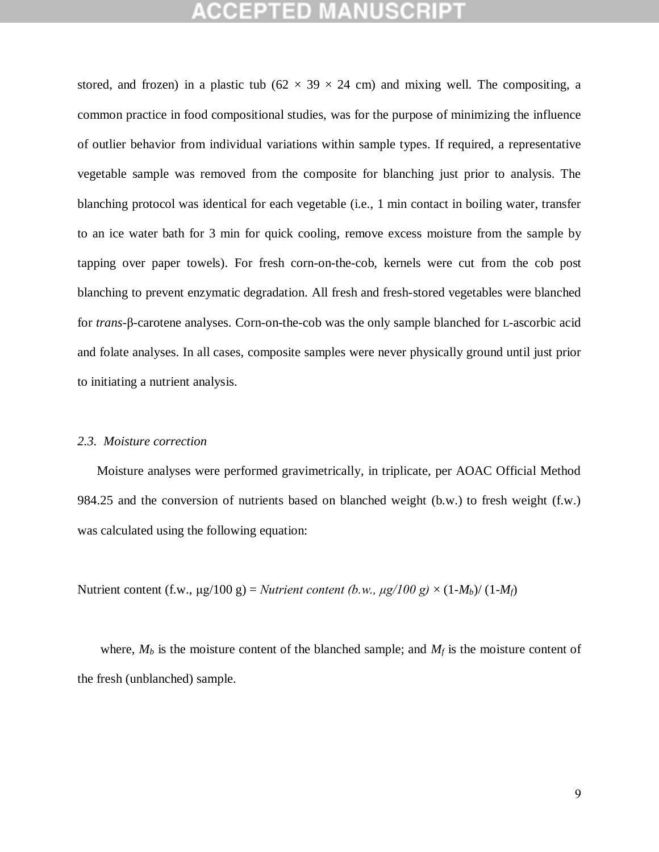stored, and frozen) in a plastic tub ( $62 \times 39 \times 24$  cm) and mixing well. The compositing, a common practice in food compositional studies, was for the purpose of minimizing the influence of outlier behavior from individual variations within sample types. If required, a representative vegetable sample was removed from the composite for blanching just prior to analysis. The blanching protocol was identical for each vegetable (i.e., 1 min contact in boiling water, transfer to an ice water bath for 3 min for quick cooling, remove excess moisture from the sample by tapping over paper towels). For fresh corn-on-the-cob, kernels were cut from the cob post blanching to prevent enzymatic degradation. All fresh and fresh-stored vegetables were blanched for *trans*-β-carotene analyses. Corn-on-the-cob was the only sample blanched for L-ascorbic acid and folate analyses. In all cases, composite samples were never physically ground until just prior to initiating a nutrient analysis.

#### *2.3. Moisture correction*

Moisture analyses were performed gravimetrically, in triplicate, per AOAC Official Method 984.25 and the conversion of nutrients based on blanched weight (b.w.) to fresh weight (f.w.) was calculated using the following equation:

Nutrient content (f.w., μg/100 g) = *Nutrient content (b.w., μg/100 g)*  $\times$  (1-*M<sub>b</sub>*)/ (1-*M<sub>f</sub>*)

where,  $M_b$  is the moisture content of the blanched sample; and  $M_f$  is the moisture content of the fresh (unblanched) sample.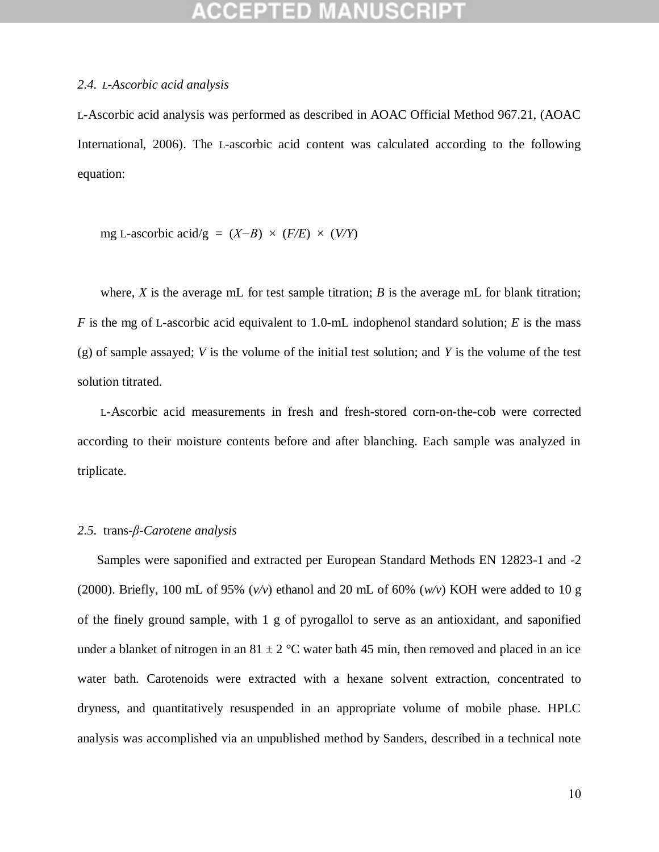### **CCEPTED MANUSCR**

#### *2.4. L-Ascorbic acid analysis*

L-Ascorbic acid analysis was performed as described in AOAC Official Method 967.21, (AOAC International, 2006). The L-ascorbic acid content was calculated according to the following equation:

mg L-ascorbic acid/g =  $(X-B) \times (F/E) \times (V/Y)$ 

where,  $X$  is the average mL for test sample titration;  $B$  is the average mL for blank titration; *F* is the mg of L-ascorbic acid equivalent to 1.0-mL indophenol standard solution; *E* is the mass (g) of sample assayed; *V* is the volume of the initial test solution; and *Y* is the volume of the test solution titrated.

L-Ascorbic acid measurements in fresh and fresh-stored corn-on-the-cob were corrected according to their moisture contents before and after blanching. Each sample was analyzed in triplicate.

#### *2.5.* trans*-β-Carotene analysis*

Samples were saponified and extracted per European Standard Methods EN 12823-1 and -2 (2000). Briefly, 100 mL of 95% (*v/v*) ethanol and 20 mL of 60% (*w/v*) KOH were added to 10 g of the finely ground sample, with 1 g of pyrogallol to serve as an antioxidant, and saponified under a blanket of nitrogen in an  $81 \pm 2$  °C water bath 45 min, then removed and placed in an ice water bath. Carotenoids were extracted with a hexane solvent extraction, concentrated to dryness, and quantitatively resuspended in an appropriate volume of mobile phase. HPLC analysis was accomplished via an unpublished method by Sanders, described in a technical note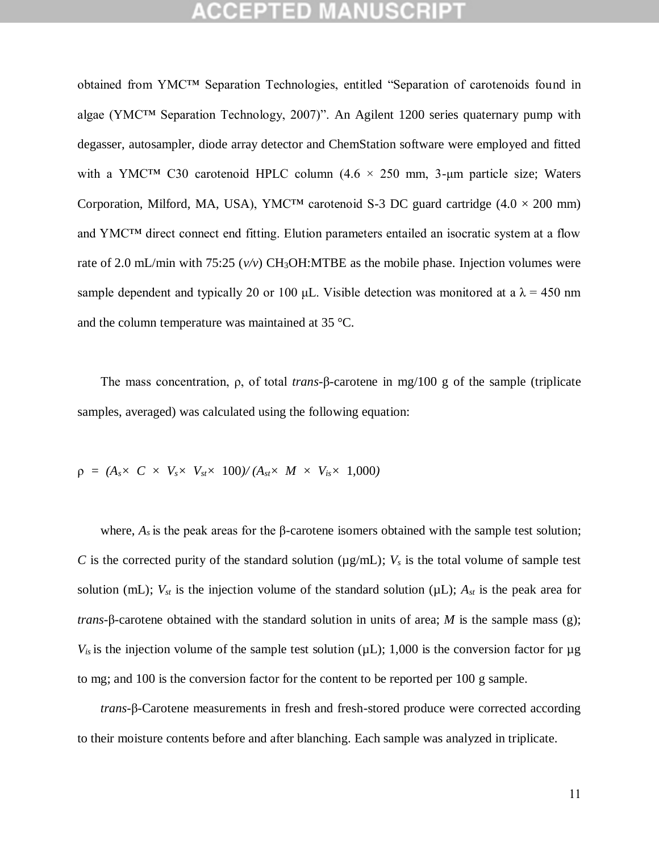obtained from YMC™ Separation Technologies, entitled "Separation of carotenoids found in algae (YMC™ Separation Technology, 2007)". An Agilent 1200 series quaternary pump with degasser, autosampler, diode array detector and ChemStation software were employed and fitted with a YMC<sup>TM</sup> C30 carotenoid HPLC column  $(4.6 \times 250 \text{ mm}, 3\text{-µm}$  particle size; Waters Corporation, Milford, MA, USA), YMC<sup>TM</sup> carotenoid S-3 DC guard cartridge  $(4.0 \times 200 \text{ mm})$ and YMC™ direct connect end fitting. Elution parameters entailed an isocratic system at a flow rate of 2.0 mL/min with 75:25  $(v/v)$  CH<sub>3</sub>OH:MTBE as the mobile phase. Injection volumes were sample dependent and typically 20 or 100 μL. Visible detection was monitored at a  $\lambda = 450$  nm and the column temperature was maintained at 35 °C.

The mass concentration, ρ, of total *trans*-β-carotene in mg/100 g of the sample (triplicate samples, averaged) was calculated using the following equation:

$$
\rho = (A_s \times C \times V_s \times V_{st} \times 100)/(A_{st} \times M \times V_{is} \times 1,000)
$$

where,  $A_s$  is the peak areas for the  $\beta$ -carotene isomers obtained with the sample test solution; *C* is the corrected purity of the standard solution ( $\mu$ g/mL); *V<sub>s</sub>* is the total volume of sample test solution (mL);  $V_{st}$  is the injection volume of the standard solution ( $\mu$ L);  $A_{st}$  is the peak area for *trans*-β-carotene obtained with the standard solution in units of area; *M* is the sample mass (g);  $V_{is}$  is the injection volume of the sample test solution ( $\mu$ L); 1,000 is the conversion factor for  $\mu$ g to mg; and 100 is the conversion factor for the content to be reported per 100 g sample.

*trans*-β-Carotene measurements in fresh and fresh-stored produce were corrected according to their moisture contents before and after blanching. Each sample was analyzed in triplicate.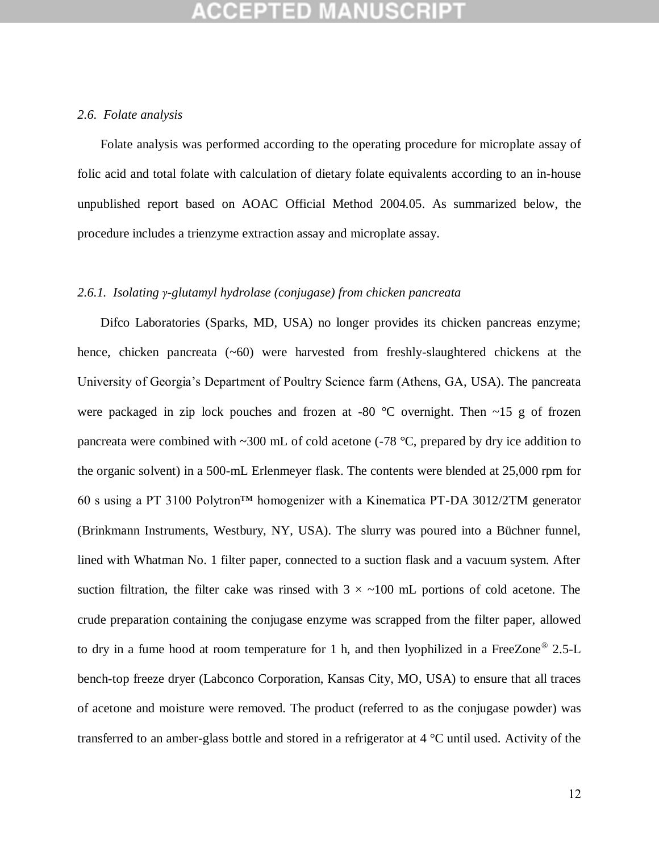#### *2.6. Folate analysis*

Folate analysis was performed according to the operating procedure for microplate assay of folic acid and total folate with calculation of dietary folate equivalents according to an in-house unpublished report based on AOAC Official Method 2004.05. As summarized below, the procedure includes a trienzyme extraction assay and microplate assay.

#### *2.6.1. Isolating γ-glutamyl hydrolase (conjugase) from chicken pancreata*

Difco Laboratories (Sparks, MD, USA) no longer provides its chicken pancreas enzyme; hence, chicken pancreata  $(\sim 60)$  were harvested from freshly-slaughtered chickens at the University of Georgia's Department of Poultry Science farm (Athens, GA, USA). The pancreata were packaged in zip lock pouches and frozen at -80  $^{\circ}$ C overnight. Then  $\sim$ 15 g of frozen pancreata were combined with  $\sim$ 300 mL of cold acetone (-78 °C, prepared by dry ice addition to the organic solvent) in a 500-mL Erlenmeyer flask. The contents were blended at 25,000 rpm for 60 s using a PT 3100 Polytron™ homogenizer with a Kinematica PT-DA 3012/2TM generator (Brinkmann Instruments, Westbury, NY, USA). The slurry was poured into a Büchner funnel, lined with Whatman No. 1 filter paper, connected to a suction flask and a vacuum system. After suction filtration, the filter cake was rinsed with  $3 \times \sim 100$  mL portions of cold acetone. The crude preparation containing the conjugase enzyme was scrapped from the filter paper, allowed to dry in a fume hood at room temperature for 1 h, and then lyophilized in a FreeZone® 2.5-L bench-top freeze dryer (Labconco Corporation, Kansas City, MO, USA) to ensure that all traces of acetone and moisture were removed. The product (referred to as the conjugase powder) was transferred to an amber-glass bottle and stored in a refrigerator at 4 °C until used. Activity of the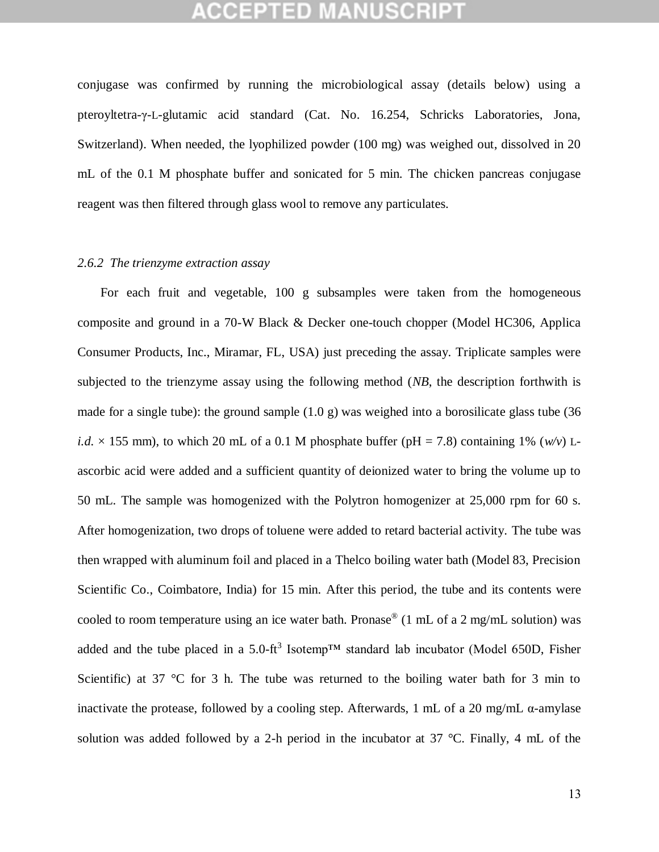conjugase was confirmed by running the microbiological assay (details below) using a pteroyltetra-γ-L-glutamic acid standard (Cat. No. 16.254, Schricks Laboratories, Jona, Switzerland). When needed, the lyophilized powder (100 mg) was weighed out, dissolved in 20 mL of the 0.1 M phosphate buffer and sonicated for 5 min. The chicken pancreas conjugase reagent was then filtered through glass wool to remove any particulates.

### *2.6.2 The trienzyme extraction assay*

For each fruit and vegetable, 100 g subsamples were taken from the homogeneous composite and ground in a 70-W Black & Decker one-touch chopper (Model HC306, Applica Consumer Products, Inc., Miramar, FL, USA) just preceding the assay. Triplicate samples were subjected to the trienzyme assay using the following method (*NB*, the description forthwith is made for a single tube): the ground sample  $(1.0 \text{ g})$  was weighed into a borosilicate glass tube  $(36 \text{ g})$ *i.d.*  $\times$  155 mm), to which 20 mL of a 0.1 M phosphate buffer (pH = 7.8) containing 1% (*w/v*) Lascorbic acid were added and a sufficient quantity of deionized water to bring the volume up to 50 mL. The sample was homogenized with the Polytron homogenizer at 25,000 rpm for 60 s. After homogenization, two drops of toluene were added to retard bacterial activity. The tube was then wrapped with aluminum foil and placed in a Thelco boiling water bath (Model 83, Precision Scientific Co., Coimbatore, India) for 15 min. After this period, the tube and its contents were cooled to room temperature using an ice water bath. Pronase® (1 mL of a 2 mg/mL solution) was added and the tube placed in a 5.0-ft<sup>3</sup> Isotemp<sup>TM</sup> standard lab incubator (Model 650D, Fisher Scientific) at 37 °C for 3 h. The tube was returned to the boiling water bath for 3 min to inactivate the protease, followed by a cooling step. Afterwards, 1 mL of a 20 mg/mL α-amylase solution was added followed by a 2-h period in the incubator at 37 °C. Finally, 4 mL of the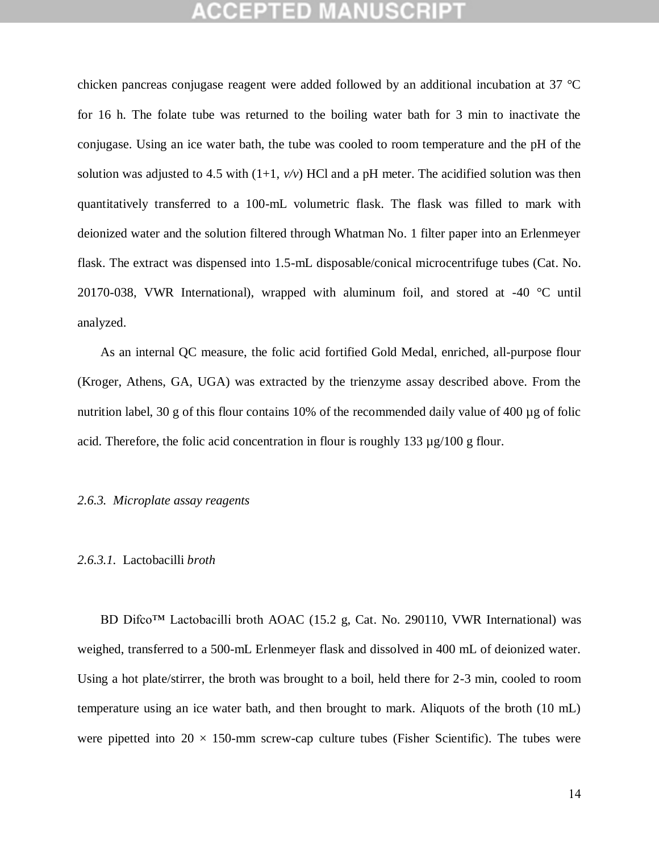chicken pancreas conjugase reagent were added followed by an additional incubation at 37 °C for 16 h. The folate tube was returned to the boiling water bath for 3 min to inactivate the conjugase. Using an ice water bath, the tube was cooled to room temperature and the pH of the solution was adjusted to 4.5 with  $(1+1, v/v)$  HCl and a pH meter. The acidified solution was then quantitatively transferred to a 100-mL volumetric flask. The flask was filled to mark with deionized water and the solution filtered through Whatman No. 1 filter paper into an Erlenmeyer flask. The extract was dispensed into 1.5-mL disposable/conical microcentrifuge tubes (Cat. No. 20170-038, VWR International), wrapped with aluminum foil, and stored at -40 °C until analyzed.

As an internal QC measure, the folic acid fortified Gold Medal, enriched, all-purpose flour (Kroger, Athens, GA, UGA) was extracted by the trienzyme assay described above. From the nutrition label, 30 g of this flour contains 10% of the recommended daily value of 400  $\mu$ g of folic acid. Therefore, the folic acid concentration in flour is roughly 133 µg/100 g flour.

#### *2.6.3. Microplate assay reagents*

#### *2.6.3.1.* Lactobacilli *broth*

BD Difco™ Lactobacilli broth AOAC (15.2 g, Cat. No. 290110, VWR International) was weighed, transferred to a 500-mL Erlenmeyer flask and dissolved in 400 mL of deionized water. Using a hot plate/stirrer, the broth was brought to a boil, held there for 2-3 min, cooled to room temperature using an ice water bath, and then brought to mark. Aliquots of the broth (10 mL) were pipetted into  $20 \times 150$ -mm screw-cap culture tubes (Fisher Scientific). The tubes were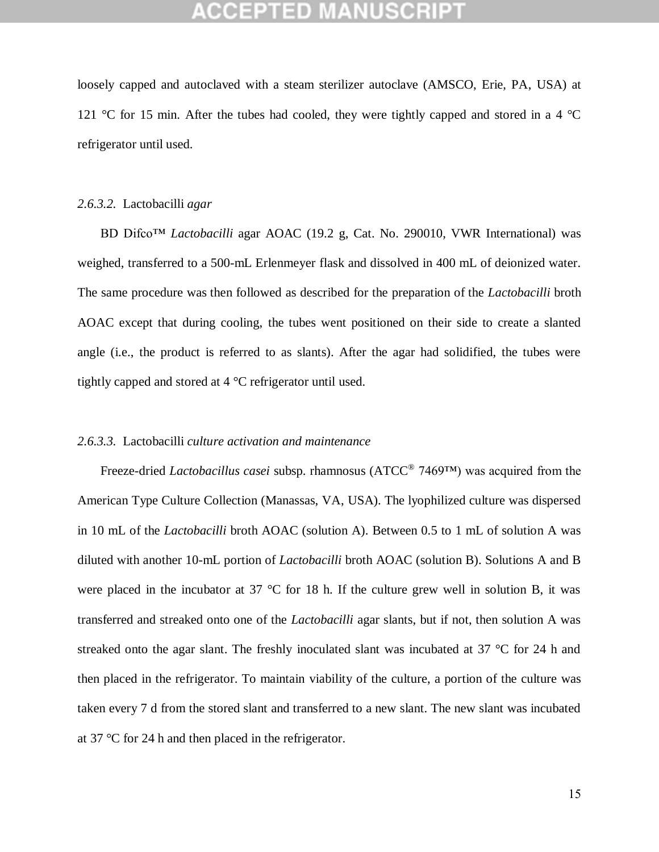loosely capped and autoclaved with a steam sterilizer autoclave (AMSCO, Erie, PA, USA) at 121 °C for 15 min. After the tubes had cooled, they were tightly capped and stored in a 4 °C refrigerator until used.

#### *2.6.3.2.* Lactobacilli *agar*

BD Difco™ *Lactobacilli* agar AOAC (19.2 g, Cat. No. 290010, VWR International) was weighed, transferred to a 500-mL Erlenmeyer flask and dissolved in 400 mL of deionized water. The same procedure was then followed as described for the preparation of the *Lactobacilli* broth AOAC except that during cooling, the tubes went positioned on their side to create a slanted angle (i.e., the product is referred to as slants). After the agar had solidified, the tubes were tightly capped and stored at 4 °C refrigerator until used.

#### *2.6.3.3.* Lactobacilli *culture activation and maintenance*

Freeze-dried *Lactobacillus casei* subsp. rhamnosus (ATCC® 7469™) was acquired from the American Type Culture Collection (Manassas, VA, USA). The lyophilized culture was dispersed in 10 mL of the *Lactobacilli* broth AOAC (solution A). Between 0.5 to 1 mL of solution A was diluted with another 10-mL portion of *Lactobacilli* broth AOAC (solution B). Solutions A and B were placed in the incubator at 37 °C for 18 h. If the culture grew well in solution B, it was transferred and streaked onto one of the *Lactobacilli* agar slants, but if not, then solution A was streaked onto the agar slant. The freshly inoculated slant was incubated at  $37 \degree C$  for 24 h and then placed in the refrigerator. To maintain viability of the culture, a portion of the culture was taken every 7 d from the stored slant and transferred to a new slant. The new slant was incubated at 37 °C for 24 h and then placed in the refrigerator.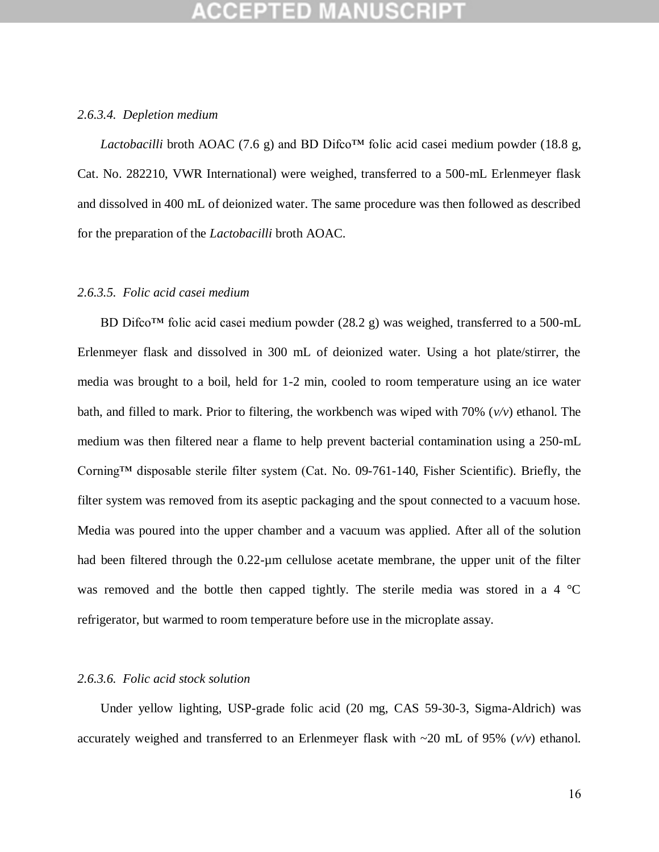#### *2.6.3.4. Depletion medium*

*Lactobacilli* broth AOAC (7.6 g) and BD Difco<sup>TM</sup> folic acid casei medium powder (18.8 g, Cat. No. 282210, VWR International) were weighed, transferred to a 500-mL Erlenmeyer flask and dissolved in 400 mL of deionized water. The same procedure was then followed as described for the preparation of the *Lactobacilli* broth AOAC.

#### *2.6.3.5. Folic acid casei medium*

BD Difco<sup>™</sup> folic acid casei medium powder (28.2 g) was weighed, transferred to a 500-mL Erlenmeyer flask and dissolved in 300 mL of deionized water. Using a hot plate/stirrer, the media was brought to a boil, held for 1-2 min, cooled to room temperature using an ice water bath, and filled to mark. Prior to filtering, the workbench was wiped with 70% (*v/v*) ethanol. The medium was then filtered near a flame to help prevent bacterial contamination using a 250-mL Corning™ disposable sterile filter system (Cat. No. 09-761-140, Fisher Scientific). Briefly, the filter system was removed from its aseptic packaging and the spout connected to a vacuum hose. Media was poured into the upper chamber and a vacuum was applied. After all of the solution had been filtered through the 0.22-µm cellulose acetate membrane, the upper unit of the filter was removed and the bottle then capped tightly. The sterile media was stored in a 4 °C refrigerator, but warmed to room temperature before use in the microplate assay.

#### *2.6.3.6. Folic acid stock solution*

Under yellow lighting, USP-grade folic acid (20 mg, CAS 59-30-3, Sigma-Aldrich) was accurately weighed and transferred to an Erlenmeyer flask with  $\sim$ 20 mL of 95% ( $v/v$ ) ethanol.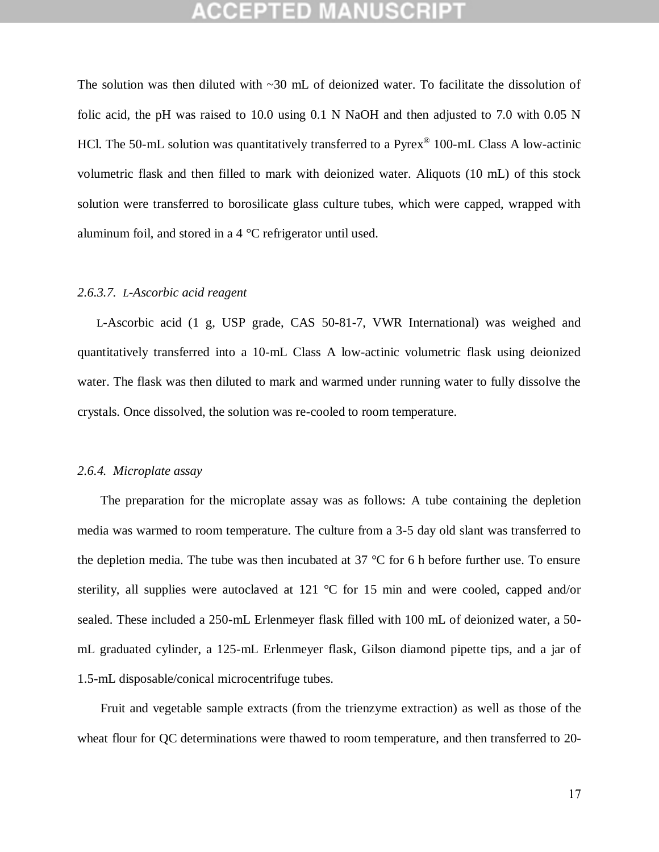The solution was then diluted with  $\sim$ 30 mL of deionized water. To facilitate the dissolution of folic acid, the pH was raised to  $10.0$  using  $0.1$  N NaOH and then adjusted to 7.0 with  $0.05$  N HCl. The 50-mL solution was quantitatively transferred to a Pyrex<sup>®</sup> 100-mL Class A low-actinic volumetric flask and then filled to mark with deionized water. Aliquots (10 mL) of this stock solution were transferred to borosilicate glass culture tubes, which were capped, wrapped with aluminum foil, and stored in a 4 °C refrigerator until used.

#### *2.6.3.7. L-Ascorbic acid reagent*

L-Ascorbic acid (1 g, USP grade, CAS 50-81-7, VWR International) was weighed and quantitatively transferred into a 10-mL Class A low-actinic volumetric flask using deionized water. The flask was then diluted to mark and warmed under running water to fully dissolve the crystals. Once dissolved, the solution was re-cooled to room temperature.

#### *2.6.4. Microplate assay*

The preparation for the microplate assay was as follows: A tube containing the depletion media was warmed to room temperature. The culture from a 3-5 day old slant was transferred to the depletion media. The tube was then incubated at 37 °C for 6 h before further use. To ensure sterility, all supplies were autoclaved at 121 °C for 15 min and were cooled, capped and/or sealed. These included a 250-mL Erlenmeyer flask filled with 100 mL of deionized water, a 50 mL graduated cylinder, a 125-mL Erlenmeyer flask, Gilson diamond pipette tips, and a jar of 1.5-mL disposable/conical microcentrifuge tubes.

Fruit and vegetable sample extracts (from the trienzyme extraction) as well as those of the wheat flour for QC determinations were thawed to room temperature, and then transferred to 20-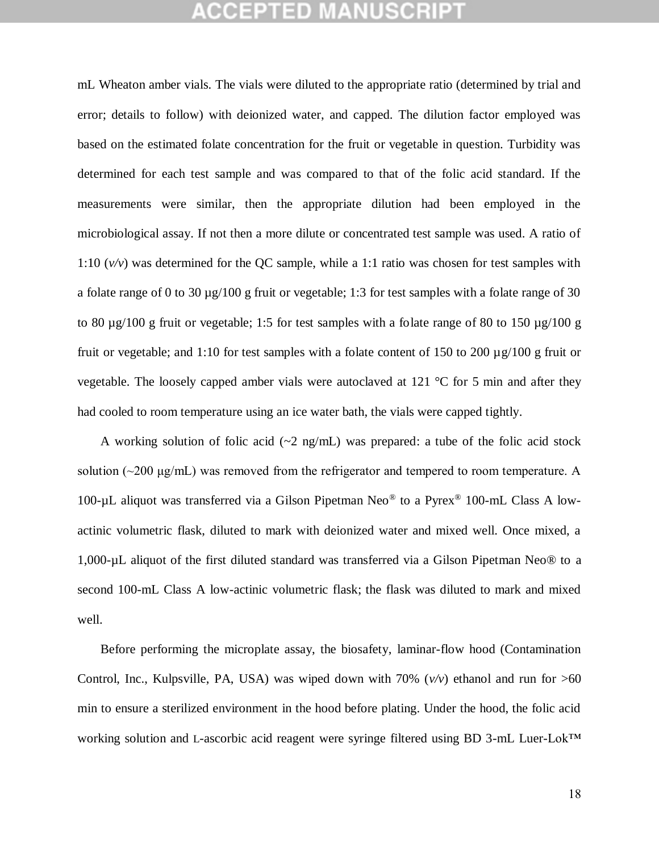mL Wheaton amber vials. The vials were diluted to the appropriate ratio (determined by trial and error; details to follow) with deionized water, and capped. The dilution factor employed was based on the estimated folate concentration for the fruit or vegetable in question. Turbidity was determined for each test sample and was compared to that of the folic acid standard. If the measurements were similar, then the appropriate dilution had been employed in the microbiological assay. If not then a more dilute or concentrated test sample was used. A ratio of 1:10 (*v/v*) was determined for the QC sample, while a 1:1 ratio was chosen for test samples with a folate range of 0 to 30 µg/100 g fruit or vegetable; 1:3 for test samples with a folate range of 30 to 80  $\mu$ g/100 g fruit or vegetable; 1:5 for test samples with a folate range of 80 to 150  $\mu$ g/100 g fruit or vegetable; and 1:10 for test samples with a folate content of 150 to 200  $\mu$ g/100 g fruit or vegetable. The loosely capped amber vials were autoclaved at 121 °C for 5 min and after they had cooled to room temperature using an ice water bath, the vials were capped tightly.

A working solution of folic acid  $(\sim 2 \text{ ng/mL})$  was prepared: a tube of the folic acid stock solution ( $\sim$ 200 μg/mL) was removed from the refrigerator and tempered to room temperature. A 100-µL aliquot was transferred via a Gilson Pipetman Neo® to a Pyrex® 100-mL Class A lowactinic volumetric flask, diluted to mark with deionized water and mixed well. Once mixed, a 1,000-µL aliquot of the first diluted standard was transferred via a Gilson Pipetman Neo® to a second 100-mL Class A low-actinic volumetric flask; the flask was diluted to mark and mixed well.

Before performing the microplate assay, the biosafety, laminar-flow hood (Contamination Control, Inc., Kulpsville, PA, USA) was wiped down with  $70\%$  ( $v/v$ ) ethanol and run for  $>60$ min to ensure a sterilized environment in the hood before plating. Under the hood, the folic acid working solution and L-ascorbic acid reagent were syringe filtered using BD 3-mL Luer-Lok™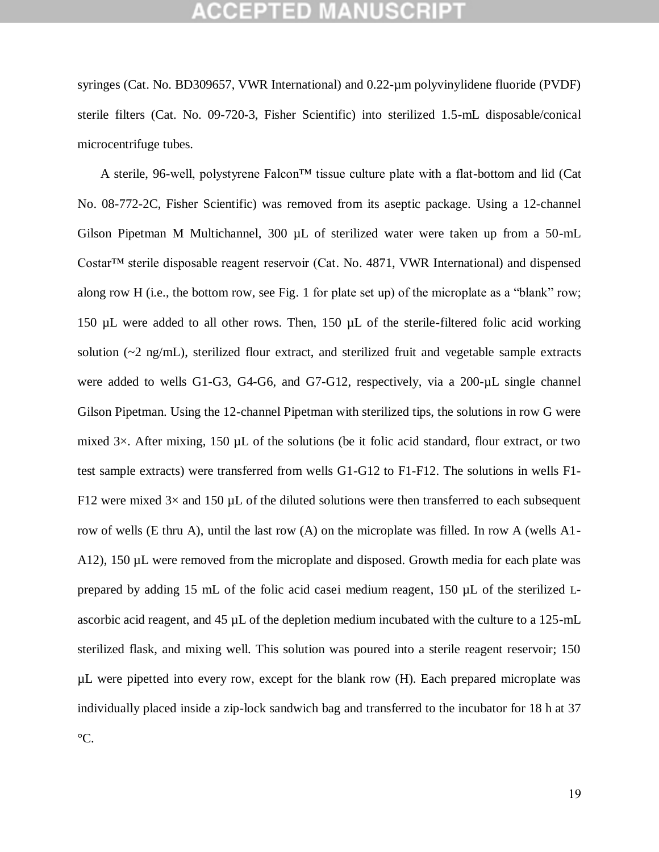syringes (Cat. No. BD309657, VWR International) and 0.22-µm polyvinylidene fluoride (PVDF) sterile filters (Cat. No. 09-720-3, Fisher Scientific) into sterilized 1.5-mL disposable/conical microcentrifuge tubes.

A sterile, 96-well, polystyrene Falcon™ tissue culture plate with a flat-bottom and lid (Cat No. 08-772-2C, Fisher Scientific) was removed from its aseptic package. Using a 12-channel Gilson Pipetman M Multichannel, 300 µL of sterilized water were taken up from a 50-mL Costar™ sterile disposable reagent reservoir (Cat. No. 4871, VWR International) and dispensed along row H (i.e., the bottom row, see Fig. 1 for plate set up) of the microplate as a "blank" row; 150 µL were added to all other rows. Then, 150 µL of the sterile-filtered folic acid working solution  $\sim$  2 ng/mL), sterilized flour extract, and sterilized fruit and vegetable sample extracts were added to wells G1-G3, G4-G6, and G7-G12, respectively, via a 200-µL single channel Gilson Pipetman. Using the 12-channel Pipetman with sterilized tips, the solutions in row G were mixed 3×. After mixing, 150 µL of the solutions (be it folic acid standard, flour extract, or two test sample extracts) were transferred from wells G1-G12 to F1-F12. The solutions in wells F1- F12 were mixed  $3\times$  and 150 µL of the diluted solutions were then transferred to each subsequent row of wells (E thru A), until the last row (A) on the microplate was filled. In row A (wells A1- A12), 150 µL were removed from the microplate and disposed. Growth media for each plate was prepared by adding 15 mL of the folic acid casei medium reagent, 150 µL of the sterilized Lascorbic acid reagent, and 45 µL of the depletion medium incubated with the culture to a 125-mL sterilized flask, and mixing well. This solution was poured into a sterile reagent reservoir; 150 µL were pipetted into every row, except for the blank row (H). Each prepared microplate was individually placed inside a zip-lock sandwich bag and transferred to the incubator for 18 h at 37  $\mathrm{C}$ .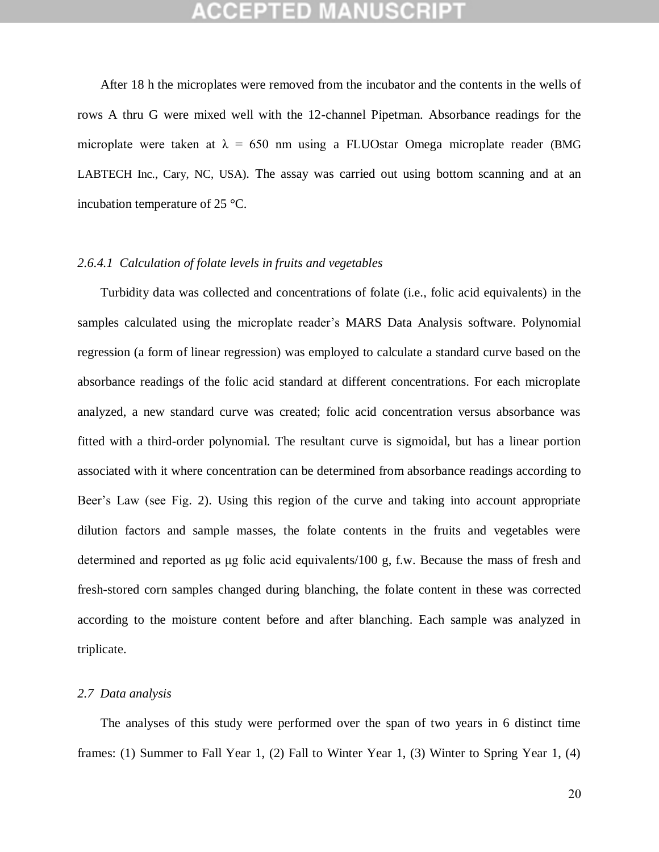After 18 h the microplates were removed from the incubator and the contents in the wells of rows A thru G were mixed well with the 12-channel Pipetman. Absorbance readings for the microplate were taken at  $\lambda = 650$  nm using a FLUOstar Omega microplate reader (BMG LABTECH Inc., Cary, NC, USA). The assay was carried out using bottom scanning and at an incubation temperature of 25 °C.

### *2.6.4.1 Calculation of folate levels in fruits and vegetables*

Turbidity data was collected and concentrations of folate (i.e., folic acid equivalents) in the samples calculated using the microplate reader's MARS Data Analysis software. Polynomial regression (a form of linear regression) was employed to calculate a standard curve based on the absorbance readings of the folic acid standard at different concentrations. For each microplate analyzed, a new standard curve was created; folic acid concentration versus absorbance was fitted with a third-order polynomial. The resultant curve is sigmoidal, but has a linear portion associated with it where concentration can be determined from absorbance readings according to Beer's Law (see Fig. 2). Using this region of the curve and taking into account appropriate dilution factors and sample masses, the folate contents in the fruits and vegetables were determined and reported as μg folic acid equivalents/100 g, f.w. Because the mass of fresh and fresh-stored corn samples changed during blanching, the folate content in these was corrected according to the moisture content before and after blanching. Each sample was analyzed in triplicate.

#### *2.7 Data analysis*

The analyses of this study were performed over the span of two years in 6 distinct time frames: (1) Summer to Fall Year 1, (2) Fall to Winter Year 1, (3) Winter to Spring Year 1, (4)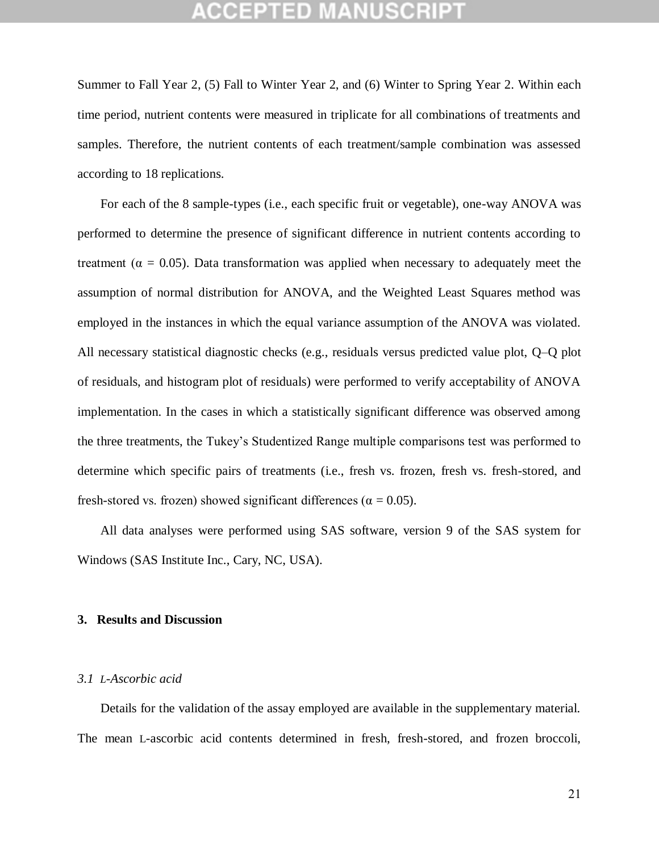Summer to Fall Year 2, (5) Fall to Winter Year 2, and (6) Winter to Spring Year 2. Within each time period, nutrient contents were measured in triplicate for all combinations of treatments and samples. Therefore, the nutrient contents of each treatment/sample combination was assessed according to 18 replications.

For each of the 8 sample-types (i.e., each specific fruit or vegetable), one-way ANOVA was performed to determine the presence of significant difference in nutrient contents according to treatment ( $\alpha = 0.05$ ). Data transformation was applied when necessary to adequately meet the assumption of normal distribution for ANOVA, and the Weighted Least Squares method was employed in the instances in which the equal variance assumption of the ANOVA was violated. All necessary statistical diagnostic checks (e.g., residuals versus predicted value plot, Q–Q plot of residuals, and histogram plot of residuals) were performed to verify acceptability of ANOVA implementation. In the cases in which a statistically significant difference was observed among the three treatments, the Tukey's Studentized Range multiple comparisons test was performed to determine which specific pairs of treatments (i.e., fresh vs. frozen, fresh vs. fresh-stored, and fresh-stored vs. frozen) showed significant differences ( $\alpha = 0.05$ ).

All data analyses were performed using SAS software, version 9 of the SAS system for Windows (SAS Institute Inc., Cary, NC, USA).

#### **3. Results and Discussion**

#### *3.1 L-Ascorbic acid*

Details for the validation of the assay employed are available in the supplementary material. The mean L-ascorbic acid contents determined in fresh, fresh-stored, and frozen broccoli,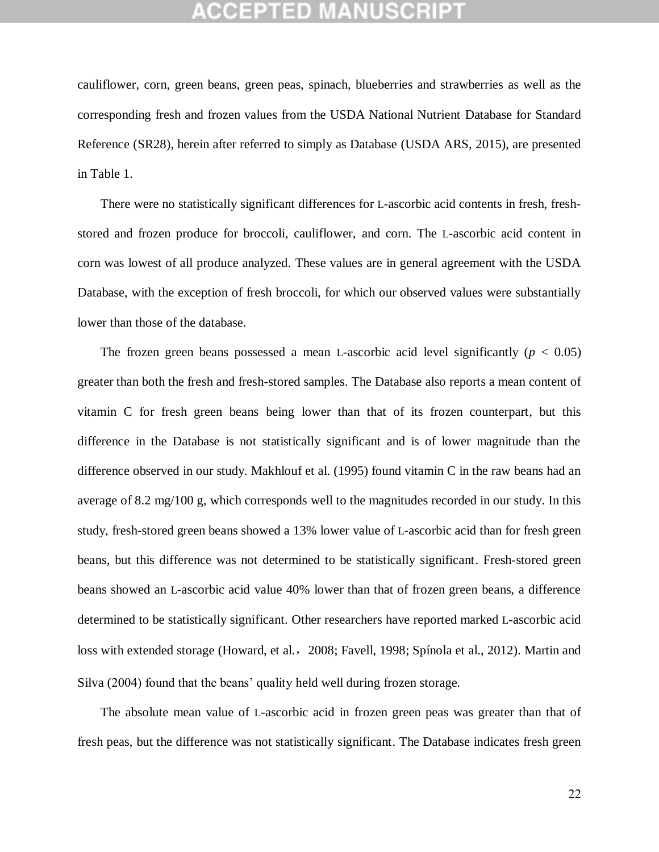cauliflower, corn, green beans, green peas, spinach, blueberries and strawberries as well as the corresponding fresh and frozen values from the USDA National Nutrient Database for Standard Reference (SR28), herein after referred to simply as Database (USDA ARS, 2015), are presented in Table 1.

There were no statistically significant differences for L-ascorbic acid contents in fresh, freshstored and frozen produce for broccoli, cauliflower, and corn. The L-ascorbic acid content in corn was lowest of all produce analyzed. These values are in general agreement with the USDA Database, with the exception of fresh broccoli, for which our observed values were substantially lower than those of the database.

The frozen green beans possessed a mean L-ascorbic acid level significantly  $(p < 0.05)$ greater than both the fresh and fresh-stored samples. The Database also reports a mean content of vitamin C for fresh green beans being lower than that of its frozen counterpart, but this difference in the Database is not statistically significant and is of lower magnitude than the difference observed in our study. Makhlouf et al. (1995) found vitamin C in the raw beans had an average of 8.2 mg/100 g, which corresponds well to the magnitudes recorded in our study. In this study, fresh-stored green beans showed a 13% lower value of L-ascorbic acid than for fresh green beans, but this difference was not determined to be statistically significant. Fresh-stored green beans showed an L-ascorbic acid value 40% lower than that of frozen green beans, a difference determined to be statistically significant. Other researchers have reported marked L-ascorbic acid loss with extended storage (Howard, et al., 2008; Favell, 1998; Spínola et al., 2012). Martin and Silva (2004) found that the beans' quality held well during frozen storage.

The absolute mean value of L-ascorbic acid in frozen green peas was greater than that of fresh peas, but the difference was not statistically significant. The Database indicates fresh green

22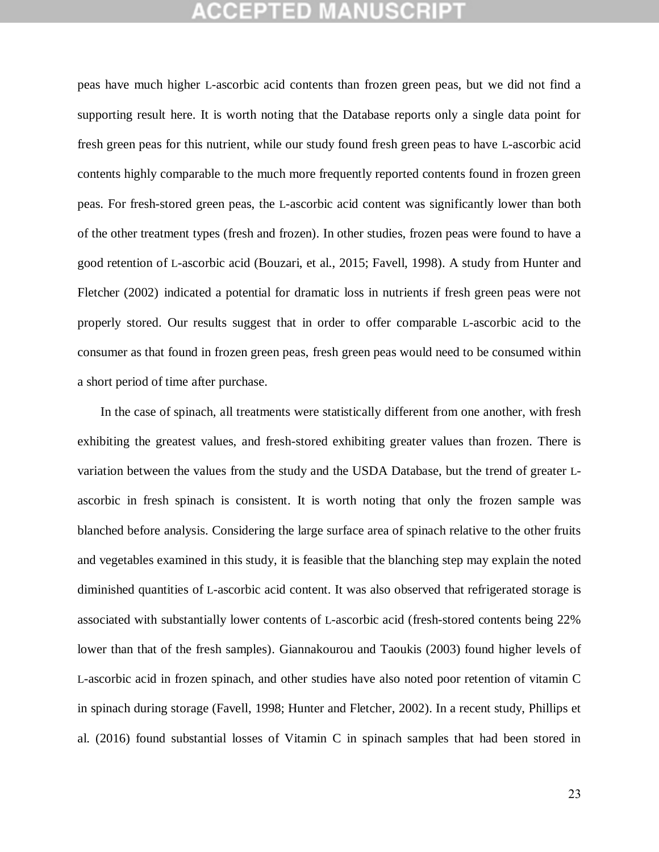peas have much higher L-ascorbic acid contents than frozen green peas, but we did not find a supporting result here. It is worth noting that the Database reports only a single data point for fresh green peas for this nutrient, while our study found fresh green peas to have L-ascorbic acid contents highly comparable to the much more frequently reported contents found in frozen green peas. For fresh-stored green peas, the L-ascorbic acid content was significantly lower than both of the other treatment types (fresh and frozen). In other studies, frozen peas were found to have a good retention of L-ascorbic acid (Bouzari, et al., 2015; Favell, 1998). A study from Hunter and Fletcher (2002) indicated a potential for dramatic loss in nutrients if fresh green peas were not properly stored. Our results suggest that in order to offer comparable L-ascorbic acid to the consumer as that found in frozen green peas, fresh green peas would need to be consumed within a short period of time after purchase.

In the case of spinach, all treatments were statistically different from one another, with fresh exhibiting the greatest values, and fresh-stored exhibiting greater values than frozen. There is variation between the values from the study and the USDA Database, but the trend of greater Lascorbic in fresh spinach is consistent. It is worth noting that only the frozen sample was blanched before analysis. Considering the large surface area of spinach relative to the other fruits and vegetables examined in this study, it is feasible that the blanching step may explain the noted diminished quantities of L-ascorbic acid content. It was also observed that refrigerated storage is associated with substantially lower contents of L-ascorbic acid (fresh-stored contents being 22% lower than that of the fresh samples). Giannakourou and Taoukis (2003) found higher levels of L-ascorbic acid in frozen spinach, and other studies have also noted poor retention of vitamin C in spinach during storage (Favell, 1998; Hunter and Fletcher, 2002). In a recent study, Phillips et al. (2016) found substantial losses of Vitamin C in spinach samples that had been stored in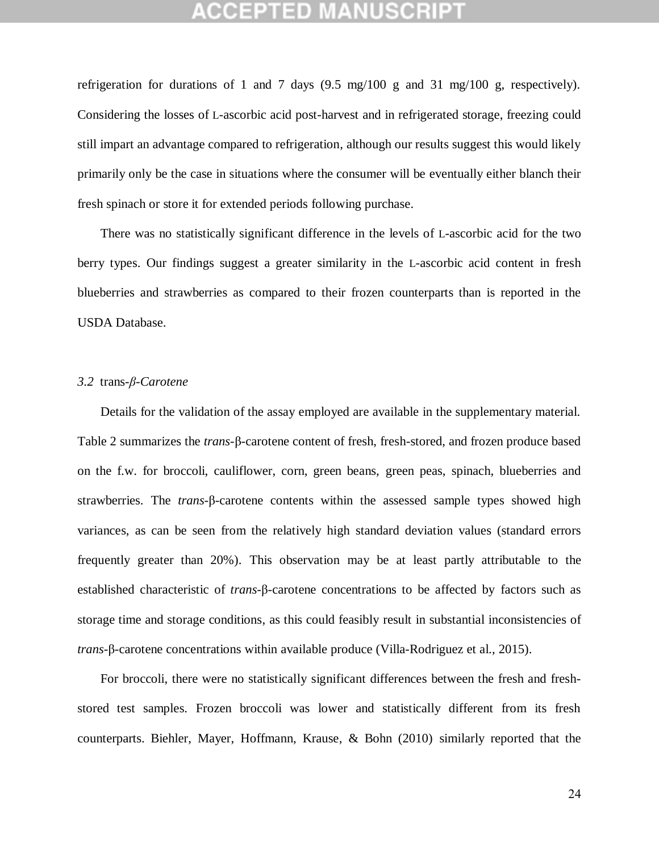# **CEPTED MANUSCR**

refrigeration for durations of 1 and 7 days (9.5 mg/100 g and 31 mg/100 g, respectively). Considering the losses of L-ascorbic acid post-harvest and in refrigerated storage, freezing could still impart an advantage compared to refrigeration, although our results suggest this would likely primarily only be the case in situations where the consumer will be eventually either blanch their fresh spinach or store it for extended periods following purchase.

There was no statistically significant difference in the levels of L-ascorbic acid for the two berry types. Our findings suggest a greater similarity in the L-ascorbic acid content in fresh blueberries and strawberries as compared to their frozen counterparts than is reported in the USDA Database.

### *3.2* trans*-β-Carotene*

Details for the validation of the assay employed are available in the supplementary material. Table 2 summarizes the *trans*-β-carotene content of fresh, fresh-stored, and frozen produce based on the f.w. for broccoli, cauliflower, corn, green beans, green peas, spinach, blueberries and strawberries. The *trans*-β-carotene contents within the assessed sample types showed high variances, as can be seen from the relatively high standard deviation values (standard errors frequently greater than 20%). This observation may be at least partly attributable to the established characteristic of *trans*-β-carotene concentrations to be affected by factors such as storage time and storage conditions, as this could feasibly result in substantial inconsistencies of *trans*-β-carotene concentrations within available produce (Villa-Rodriguez et al., 2015).

For broccoli, there were no statistically significant differences between the fresh and freshstored test samples. Frozen broccoli was lower and statistically different from its fresh counterparts. Biehler, Mayer, Hoffmann, Krause, & Bohn (2010) similarly reported that the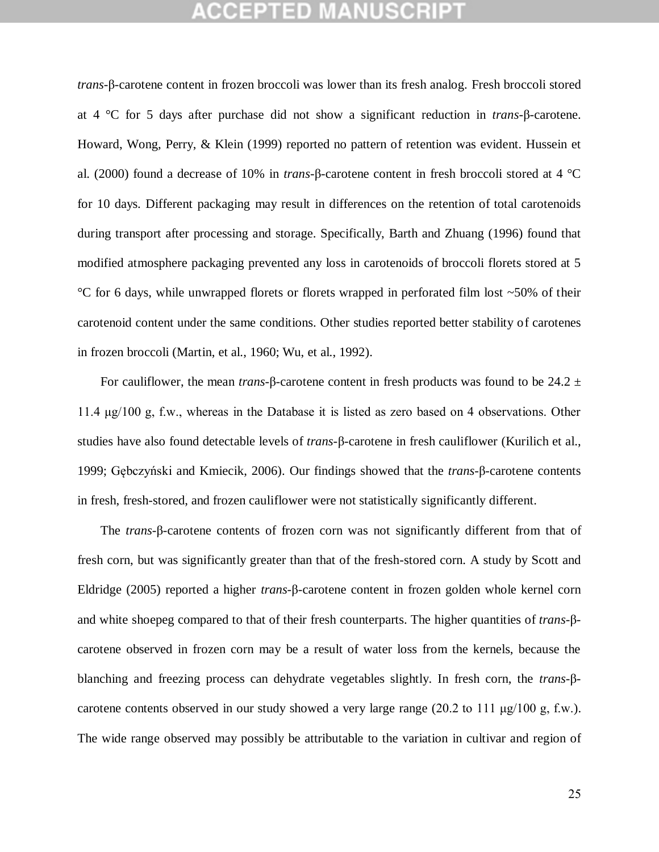*trans*-β-carotene content in frozen broccoli was lower than its fresh analog. Fresh broccoli stored at 4 °C for 5 days after purchase did not show a significant reduction in *trans*-β-carotene. Howard, Wong, Perry, & Klein (1999) reported no pattern of retention was evident. Hussein et al. (2000) found a decrease of 10% in *trans*-β-carotene content in fresh broccoli stored at 4 °C for 10 days. Different packaging may result in differences on the retention of total carotenoids during transport after processing and storage. Specifically, Barth and Zhuang (1996) found that modified atmosphere packaging prevented any loss in carotenoids of broccoli florets stored at 5 °C for 6 days, while unwrapped florets or florets wrapped in perforated film lost ~50% of their carotenoid content under the same conditions. Other studies reported better stability of carotenes in frozen broccoli (Martin, et al., 1960; Wu, et al., 1992).

For cauliflower, the mean *trans*-β-carotene content in fresh products was found to be 24.2 ± 11.4 μg/100 g, f.w., whereas in the Database it is listed as zero based on 4 observations. Other studies have also found detectable levels of *trans*-β-carotene in fresh cauliflower (Kurilich et al., 1999; Gębczyński and Kmiecik, 2006). Our findings showed that the *trans*-β-carotene contents in fresh, fresh-stored, and frozen cauliflower were not statistically significantly different.

The *trans*-β-carotene contents of frozen corn was not significantly different from that of fresh corn, but was significantly greater than that of the fresh-stored corn. A study by Scott and Eldridge (2005) reported a higher *trans*-β-carotene content in frozen golden whole kernel corn and white shoepeg compared to that of their fresh counterparts. The higher quantities of *trans*-βcarotene observed in frozen corn may be a result of water loss from the kernels, because the blanching and freezing process can dehydrate vegetables slightly. In fresh corn, the *trans*-βcarotene contents observed in our study showed a very large range (20.2 to 111  $\mu$ g/100 g, f.w.). The wide range observed may possibly be attributable to the variation in cultivar and region of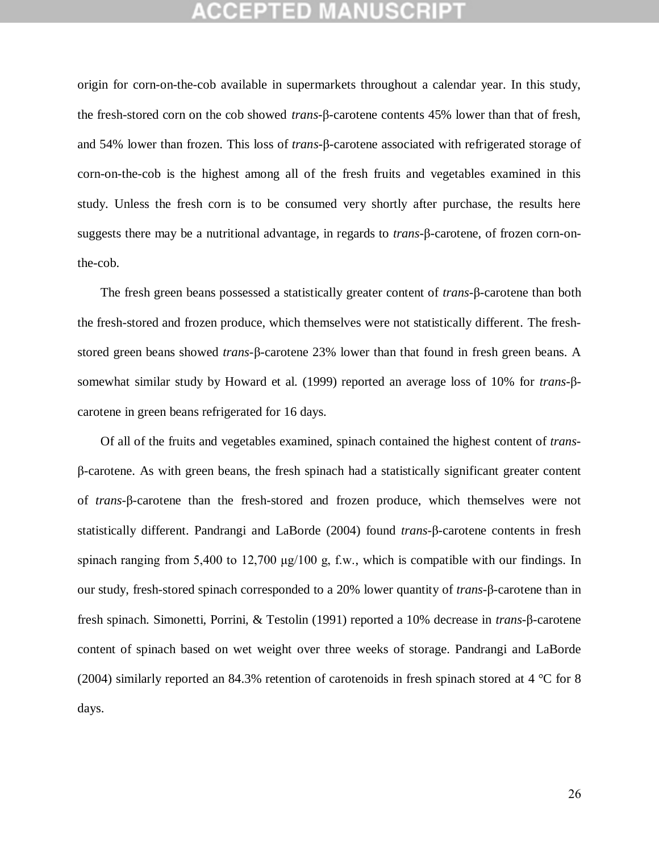origin for corn-on-the-cob available in supermarkets throughout a calendar year. In this study, the fresh-stored corn on the cob showed *trans*-β-carotene contents 45% lower than that of fresh, and 54% lower than frozen. This loss of *trans*-β-carotene associated with refrigerated storage of corn-on-the-cob is the highest among all of the fresh fruits and vegetables examined in this study. Unless the fresh corn is to be consumed very shortly after purchase, the results here suggests there may be a nutritional advantage, in regards to *trans*-β-carotene, of frozen corn-onthe-cob.

The fresh green beans possessed a statistically greater content of *trans*-β-carotene than both the fresh-stored and frozen produce, which themselves were not statistically different. The freshstored green beans showed *trans*-β-carotene 23% lower than that found in fresh green beans. A somewhat similar study by Howard et al. (1999) reported an average loss of 10% for *trans*-βcarotene in green beans refrigerated for 16 days.

Of all of the fruits and vegetables examined, spinach contained the highest content of *trans*β-carotene. As with green beans, the fresh spinach had a statistically significant greater content of *trans*-β-carotene than the fresh-stored and frozen produce, which themselves were not statistically different. Pandrangi and LaBorde (2004) found *trans*-β-carotene contents in fresh spinach ranging from 5,400 to 12,700 μg/100 g, f.w., which is compatible with our findings. In our study, fresh-stored spinach corresponded to a 20% lower quantity of *trans*-β-carotene than in fresh spinach. Simonetti, Porrini, & Testolin (1991) reported a 10% decrease in *trans*-β-carotene content of spinach based on wet weight over three weeks of storage. Pandrangi and LaBorde (2004) similarly reported an 84.3% retention of carotenoids in fresh spinach stored at 4 °C for 8 days.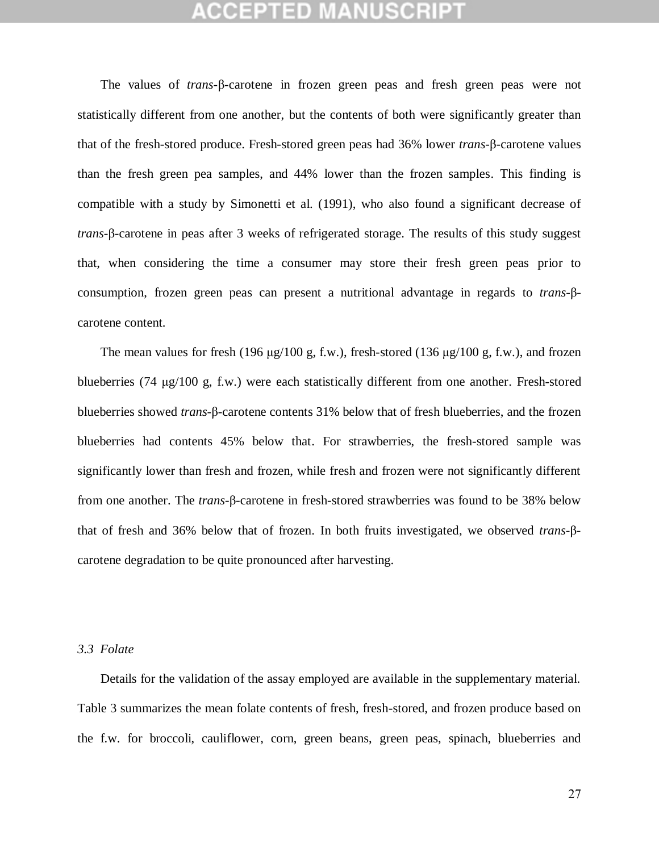## **CEPTED MANUSCF**

The values of *trans*-β-carotene in frozen green peas and fresh green peas were not statistically different from one another, but the contents of both were significantly greater than that of the fresh-stored produce. Fresh-stored green peas had 36% lower *trans*-β-carotene values than the fresh green pea samples, and 44% lower than the frozen samples. This finding is compatible with a study by Simonetti et al. (1991), who also found a significant decrease of *trans*-β-carotene in peas after 3 weeks of refrigerated storage. The results of this study suggest that, when considering the time a consumer may store their fresh green peas prior to consumption, frozen green peas can present a nutritional advantage in regards to *trans*-βcarotene content.

The mean values for fresh (196 μg/100 g, f.w.), fresh-stored (136 μg/100 g, f.w.), and frozen blueberries (74 μg/100 g, f.w.) were each statistically different from one another. Fresh-stored blueberries showed *trans*-β-carotene contents 31% below that of fresh blueberries, and the frozen blueberries had contents 45% below that. For strawberries, the fresh-stored sample was significantly lower than fresh and frozen, while fresh and frozen were not significantly different from one another. The *trans*-β-carotene in fresh-stored strawberries was found to be 38% below that of fresh and 36% below that of frozen. In both fruits investigated, we observed *trans*-βcarotene degradation to be quite pronounced after harvesting.

#### *3.3 Folate*

Details for the validation of the assay employed are available in the supplementary material. Table 3 summarizes the mean folate contents of fresh, fresh-stored, and frozen produce based on the f.w. for broccoli, cauliflower, corn, green beans, green peas, spinach, blueberries and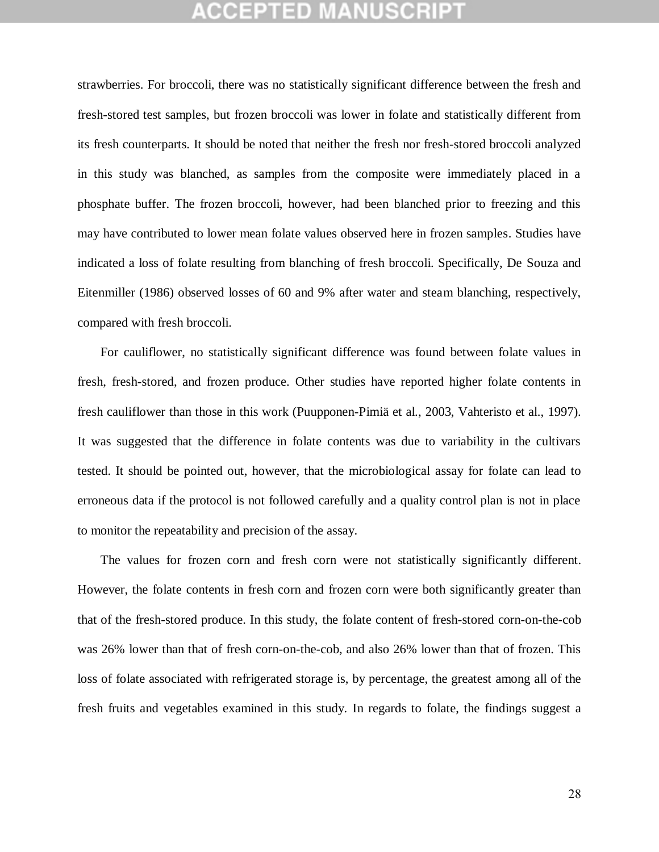strawberries. For broccoli, there was no statistically significant difference between the fresh and fresh-stored test samples, but frozen broccoli was lower in folate and statistically different from its fresh counterparts. It should be noted that neither the fresh nor fresh-stored broccoli analyzed in this study was blanched, as samples from the composite were immediately placed in a phosphate buffer. The frozen broccoli, however, had been blanched prior to freezing and this may have contributed to lower mean folate values observed here in frozen samples. Studies have indicated a loss of folate resulting from blanching of fresh broccoli. Specifically, De Souza and Eitenmiller (1986) observed losses of 60 and 9% after water and steam blanching, respectively, compared with fresh broccoli.

For cauliflower, no statistically significant difference was found between folate values in fresh, fresh-stored, and frozen produce. Other studies have reported higher folate contents in fresh cauliflower than those in this work (Puupponen-Pimiä et al., 2003, Vahteristo et al., 1997). It was suggested that the difference in folate contents was due to variability in the cultivars tested. It should be pointed out, however, that the microbiological assay for folate can lead to erroneous data if the protocol is not followed carefully and a quality control plan is not in place to monitor the repeatability and precision of the assay.

The values for frozen corn and fresh corn were not statistically significantly different. However, the folate contents in fresh corn and frozen corn were both significantly greater than that of the fresh-stored produce. In this study, the folate content of fresh-stored corn-on-the-cob was 26% lower than that of fresh corn-on-the-cob, and also 26% lower than that of frozen. This loss of folate associated with refrigerated storage is, by percentage, the greatest among all of the fresh fruits and vegetables examined in this study. In regards to folate, the findings suggest a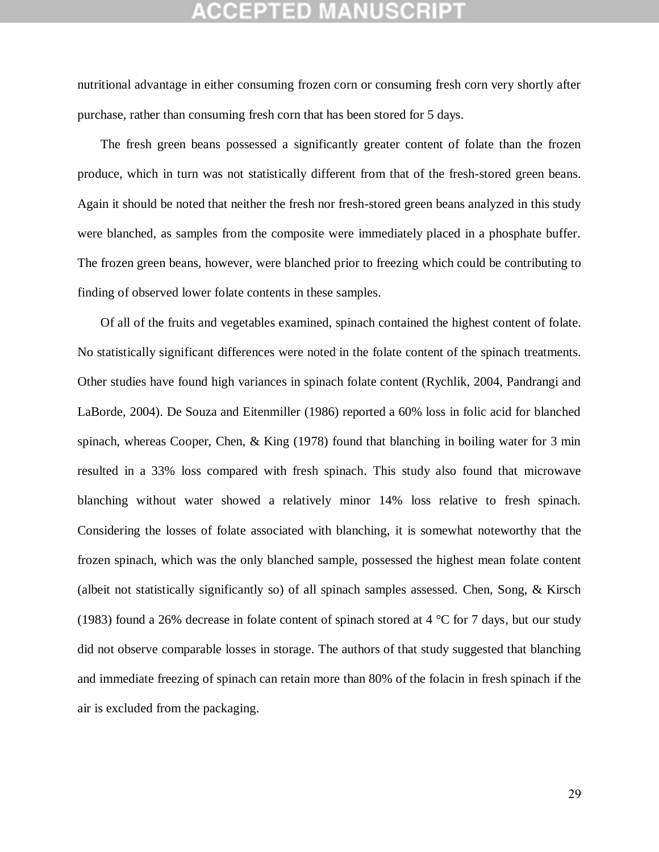nutritional advantage in either consuming frozen corn or consuming fresh corn very shortly after purchase, rather than consuming fresh corn that has been stored for 5 days.

The fresh green beans possessed a significantly greater content of folate than the frozen produce, which in turn was not statistically different from that of the fresh-stored green beans. Again it should be noted that neither the fresh nor fresh-stored green beans analyzed in this study were blanched, as samples from the composite were immediately placed in a phosphate buffer. The frozen green beans, however, were blanched prior to freezing which could be contributing to finding of observed lower folate contents in these samples.

Of all of the fruits and vegetables examined, spinach contained the highest content of folate. No statistically significant differences were noted in the folate content of the spinach treatments. Other studies have found high variances in spinach folate content (Rychlik, 2004, Pandrangi and LaBorde, 2004). De Souza and Eitenmiller (1986) reported a 60% loss in folic acid for blanched spinach, whereas Cooper, Chen, & King (1978) found that blanching in boiling water for 3 min resulted in a 33% loss compared with fresh spinach. This study also found that microwave blanching without water showed a relatively minor 14% loss relative to fresh spinach. Considering the losses of folate associated with blanching, it is somewhat noteworthy that the frozen spinach, which was the only blanched sample, possessed the highest mean folate content (albeit not statistically significantly so) of all spinach samples assessed. Chen, Song, & Kirsch (1983) found a 26% decrease in folate content of spinach stored at 4 °C for 7 days, but our study did not observe comparable losses in storage. The authors of that study suggested that blanching and immediate freezing of spinach can retain more than 80% of the folacin in fresh spinach if the air is excluded from the packaging.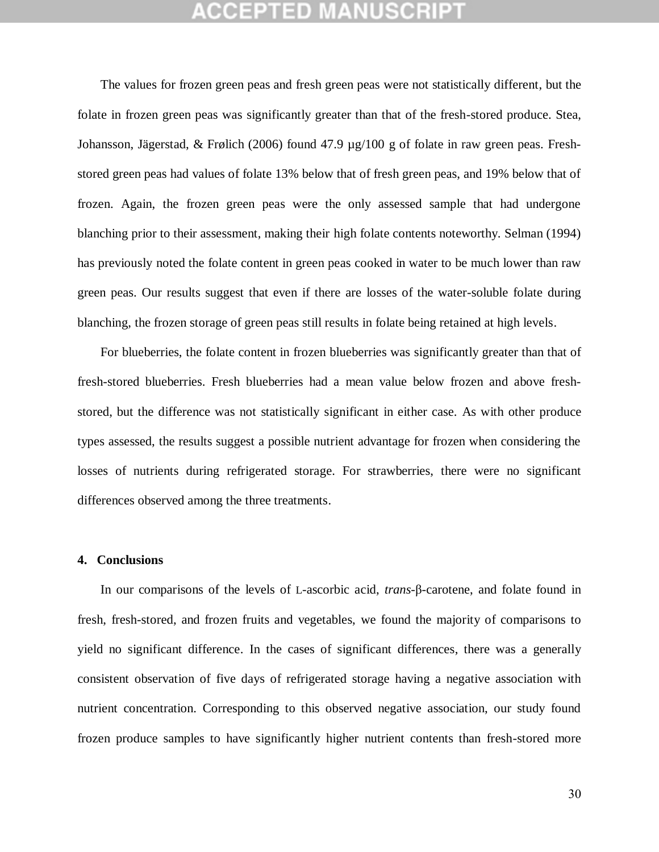# CEPTED MAN

The values for frozen green peas and fresh green peas were not statistically different, but the folate in frozen green peas was significantly greater than that of the fresh-stored produce. Stea, Johansson, Jägerstad, & Frølich (2006) found 47.9 µg/100 g of folate in raw green peas. Freshstored green peas had values of folate 13% below that of fresh green peas, and 19% below that of frozen. Again, the frozen green peas were the only assessed sample that had undergone blanching prior to their assessment, making their high folate contents noteworthy. Selman (1994) has previously noted the folate content in green peas cooked in water to be much lower than raw green peas. Our results suggest that even if there are losses of the water-soluble folate during blanching, the frozen storage of green peas still results in folate being retained at high levels.

For blueberries, the folate content in frozen blueberries was significantly greater than that of fresh-stored blueberries. Fresh blueberries had a mean value below frozen and above freshstored, but the difference was not statistically significant in either case. As with other produce types assessed, the results suggest a possible nutrient advantage for frozen when considering the losses of nutrients during refrigerated storage. For strawberries, there were no significant differences observed among the three treatments.

#### **4. Conclusions**

In our comparisons of the levels of L-ascorbic acid, *trans*-β-carotene, and folate found in fresh, fresh-stored, and frozen fruits and vegetables, we found the majority of comparisons to yield no significant difference. In the cases of significant differences, there was a generally consistent observation of five days of refrigerated storage having a negative association with nutrient concentration. Corresponding to this observed negative association, our study found frozen produce samples to have significantly higher nutrient contents than fresh-stored more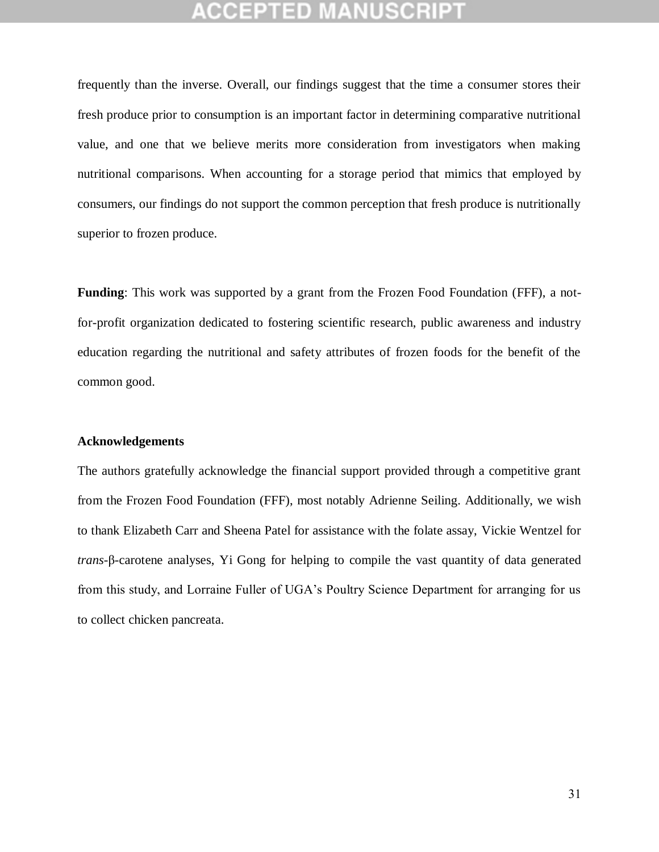frequently than the inverse. Overall, our findings suggest that the time a consumer stores their fresh produce prior to consumption is an important factor in determining comparative nutritional value, and one that we believe merits more consideration from investigators when making nutritional comparisons. When accounting for a storage period that mimics that employed by consumers, our findings do not support the common perception that fresh produce is nutritionally superior to frozen produce.

**Funding**: This work was supported by a grant from the Frozen Food Foundation (FFF), a notfor-profit organization dedicated to fostering scientific research, public awareness and industry education regarding the nutritional and safety attributes of frozen foods for the benefit of the common good.

#### **Acknowledgements**

The authors gratefully acknowledge the financial support provided through a competitive grant from the Frozen Food Foundation (FFF), most notably Adrienne Seiling. Additionally, we wish to thank Elizabeth Carr and Sheena Patel for assistance with the folate assay, Vickie Wentzel for *trans*-β-carotene analyses, Yi Gong for helping to compile the vast quantity of data generated from this study, and Lorraine Fuller of UGA's Poultry Science Department for arranging for us to collect chicken pancreata.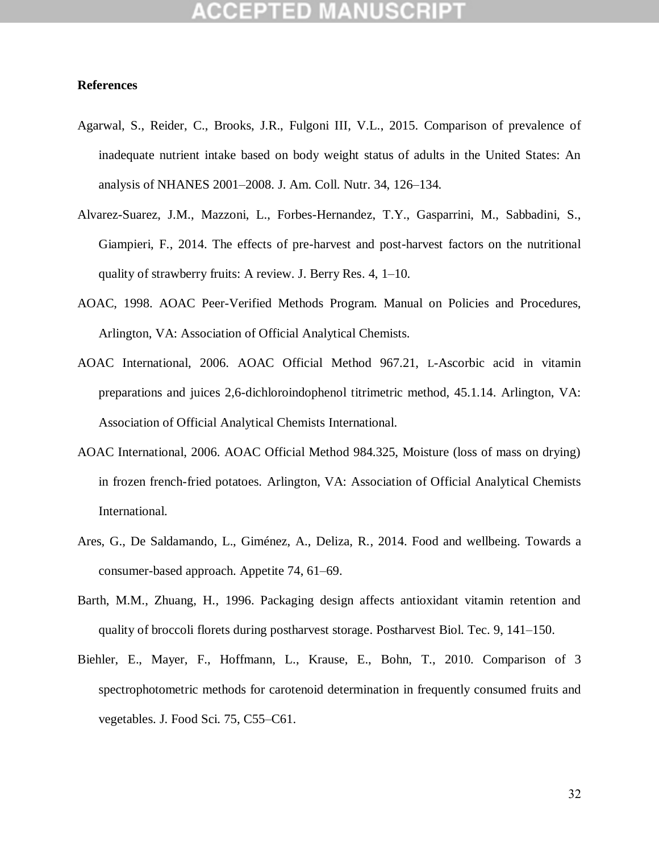### **References**

- Agarwal, S., Reider, C., Brooks, J.R., Fulgoni III, V.L., 2015. Comparison of prevalence of inadequate nutrient intake based on body weight status of adults in the United States: An analysis of NHANES 2001–2008. J. Am. Coll. Nutr. 34, 126–134.
- Alvarez-Suarez, J.M., Mazzoni, L., Forbes-Hernandez, T.Y., Gasparrini, M., Sabbadini, S., Giampieri, F., 2014. The effects of pre-harvest and post-harvest factors on the nutritional quality of strawberry fruits: A review. J. Berry Res. 4, 1–10.
- AOAC, 1998. AOAC Peer-Verified Methods Program. Manual on Policies and Procedures, Arlington, VA: Association of Official Analytical Chemists.
- AOAC International, 2006. AOAC Official Method 967.21, L-Ascorbic acid in vitamin preparations and juices 2,6-dichloroindophenol titrimetric method, 45.1.14. Arlington, VA: Association of Official Analytical Chemists International.
- AOAC International, 2006. AOAC Official Method 984.325, Moisture (loss of mass on drying) in frozen french-fried potatoes. Arlington, VA: Association of Official Analytical Chemists International.
- Ares, G., De Saldamando, L., Giménez, A., Deliza, R., 2014. Food and wellbeing. Towards a consumer-based approach. Appetite 74, 61–69.
- Barth, M.M., Zhuang, H., 1996. Packaging design affects antioxidant vitamin retention and quality of broccoli florets during postharvest storage. Postharvest Biol. Tec. 9, 141–150.
- Biehler, E., Mayer, F., Hoffmann, L., Krause, E., Bohn, T., 2010. Comparison of 3 spectrophotometric methods for carotenoid determination in frequently consumed fruits and vegetables. J. Food Sci. 75, C55–C61.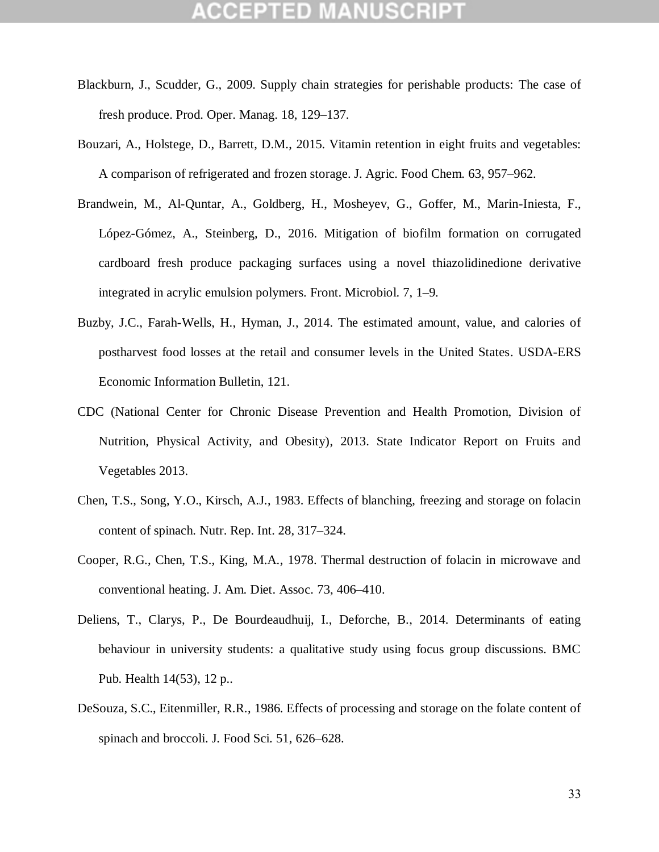# :СЕРТЕD М

- Blackburn, J., Scudder, G., 2009. Supply chain strategies for perishable products: The case of fresh produce. Prod. Oper. Manag. 18, 129–137.
- Bouzari, A., Holstege, D., Barrett, D.M., 2015. Vitamin retention in eight fruits and vegetables: A comparison of refrigerated and frozen storage. J. Agric. Food Chem. 63, 957–962.
- Brandwein, M., Al-Quntar, A., Goldberg, H., Mosheyev, G., Goffer, M., Marin-Iniesta, F., López-Gómez, A., Steinberg, D., 2016. Mitigation of biofilm formation on corrugated cardboard fresh produce packaging surfaces using a novel thiazolidinedione derivative integrated in acrylic emulsion polymers. Front. Microbiol. 7, 1–9.
- Buzby, J.C., Farah-Wells, H., Hyman, J., 2014. The estimated amount, value, and calories of postharvest food losses at the retail and consumer levels in the United States. USDA-ERS Economic Information Bulletin, 121.
- CDC (National Center for Chronic Disease Prevention and Health Promotion, Division of Nutrition, Physical Activity, and Obesity), 2013. State Indicator Report on Fruits and Vegetables 2013.
- Chen, T.S., Song, Y.O., Kirsch, A.J., 1983. Effects of blanching, freezing and storage on folacin content of spinach. Nutr. Rep. Int. 28, 317–324.
- Cooper, R.G., Chen, T.S., King, M.A., 1978. Thermal destruction of folacin in microwave and conventional heating. J. Am. Diet. Assoc. 73, 406–410.
- Deliens, T., Clarys, P., De Bourdeaudhuij, I., Deforche, B., 2014. Determinants of eating behaviour in university students: a qualitative study using focus group discussions. BMC Pub. Health 14(53), 12 p..
- DeSouza, S.C., Eitenmiller, R.R., 1986. Effects of processing and storage on the folate content of spinach and broccoli. J. Food Sci. 51, 626–628.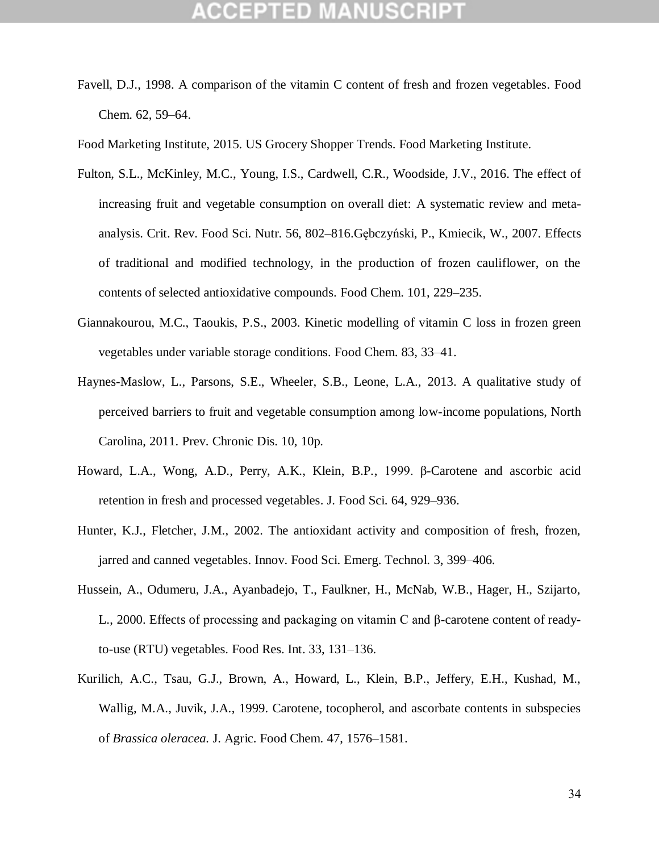Favell, D.J., 1998. A comparison of the vitamin C content of fresh and frozen vegetables. Food Chem. 62, 59–64.

Food Marketing Institute, 2015. US Grocery Shopper Trends. Food Marketing Institute.

- Fulton, S.L., McKinley, M.C., Young, I.S., Cardwell, C.R., Woodside, J.V., 2016. The effect of increasing fruit and vegetable consumption on overall diet: A systematic review and metaanalysis. Crit. Rev. Food Sci. Nutr. 56, 802–816.Gębczyński, P., Kmiecik, W., 2007. Effects of traditional and modified technology, in the production of frozen cauliflower, on the contents of selected antioxidative compounds. Food Chem. 101, 229–235.
- Giannakourou, M.C., Taoukis, P.S., 2003. Kinetic modelling of vitamin C loss in frozen green vegetables under variable storage conditions. Food Chem. 83, 33–41.
- Haynes-Maslow, L., Parsons, S.E., Wheeler, S.B., Leone, L.A., 2013. A qualitative study of perceived barriers to fruit and vegetable consumption among low-income populations, North Carolina, 2011. Prev. Chronic Dis. 10, 10p.
- Howard, L.A., Wong, A.D., Perry, A.K., Klein, B.P., 1999. β-Carotene and ascorbic acid retention in fresh and processed vegetables. J. Food Sci. 64, 929–936.
- Hunter, K.J., Fletcher, J.M., 2002. The antioxidant activity and composition of fresh, frozen, jarred and canned vegetables. Innov. Food Sci. Emerg. Technol. 3, 399–406.
- Hussein, A., Odumeru, J.A., Ayanbadejo, T., Faulkner, H., McNab, W.B., Hager, H., Szijarto, L., 2000. Effects of processing and packaging on vitamin C and β-carotene content of readyto-use (RTU) vegetables. Food Res. Int. 33, 131–136.
- Kurilich, A.C., Tsau, G.J., Brown, A., Howard, L., Klein, B.P., Jeffery, E.H., Kushad, M., Wallig, M.A., Juvik, J.A., 1999. Carotene, tocopherol, and ascorbate contents in subspecies of *Brassica oleracea.* J. Agric. Food Chem. 47, 1576–1581.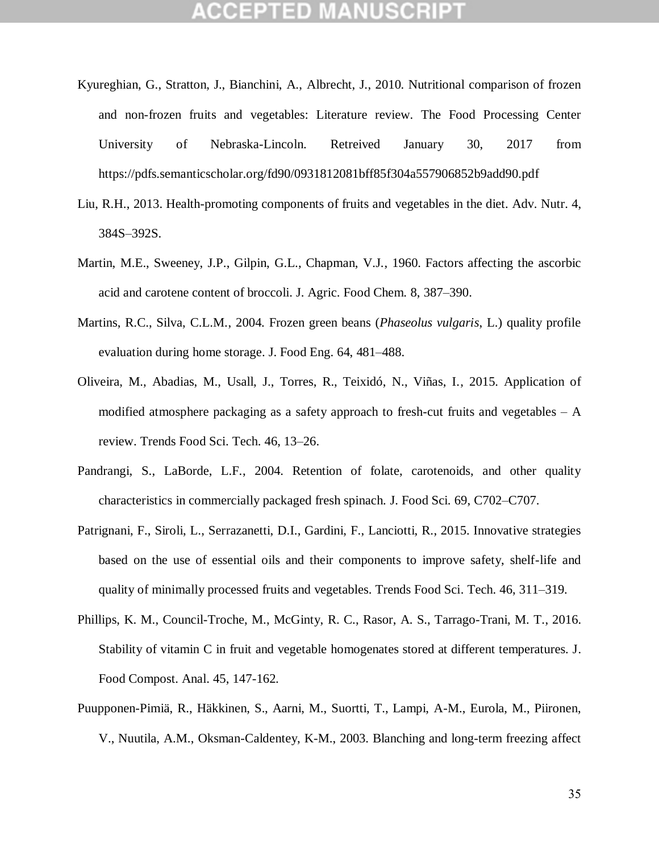- Kyureghian, G., Stratton, J., Bianchini, A., Albrecht, J., 2010. Nutritional comparison of frozen and non-frozen fruits and vegetables: Literature review. The Food Processing Center University of Nebraska-Lincoln. Retreived January 30, 2017 from https://pdfs.semanticscholar.org/fd90/0931812081bff85f304a557906852b9add90.pdf
- Liu, R.H., 2013. Health-promoting components of fruits and vegetables in the diet. Adv. Nutr. 4, 384S–392S.
- Martin, M.E., Sweeney, J.P., Gilpin, G.L., Chapman, V.J., 1960. Factors affecting the ascorbic acid and carotene content of broccoli. J. Agric. Food Chem. 8, 387–390.
- Martins, R.C., Silva, C.L.M., 2004. Frozen green beans (*Phaseolus vulgaris*, L.) quality profile evaluation during home storage. J. Food Eng. 64, 481–488.
- Oliveira, M., Abadias, M., Usall, J., Torres, R., Teixidó, N., Viñas, I., 2015. Application of modified atmosphere packaging as a safety approach to fresh-cut fruits and vegetables  $- A$ review. Trends Food Sci. Tech. 46, 13–26.
- Pandrangi, S., LaBorde, L.F., 2004. Retention of folate, carotenoids, and other quality characteristics in commercially packaged fresh spinach. J. Food Sci. 69, C702–C707.
- Patrignani, F., Siroli, L., Serrazanetti, D.I., Gardini, F., Lanciotti, R., 2015. Innovative strategies based on the use of essential oils and their components to improve safety, shelf-life and quality of minimally processed fruits and vegetables. Trends Food Sci. Tech. 46, 311–319.
- Phillips, K. M., Council-Troche, M., McGinty, R. C., Rasor, A. S., Tarrago-Trani, M. T., 2016. Stability of vitamin C in fruit and vegetable homogenates stored at different temperatures. J. Food Compost. Anal. 45, 147-162.
- Puupponen-Pimiä, R., Häkkinen, S., Aarni, M., Suortti, T., Lampi, A-M., Eurola, M., Piironen, V., Nuutila, A.M., Oksman-Caldentey, K-M., 2003. Blanching and long-term freezing affect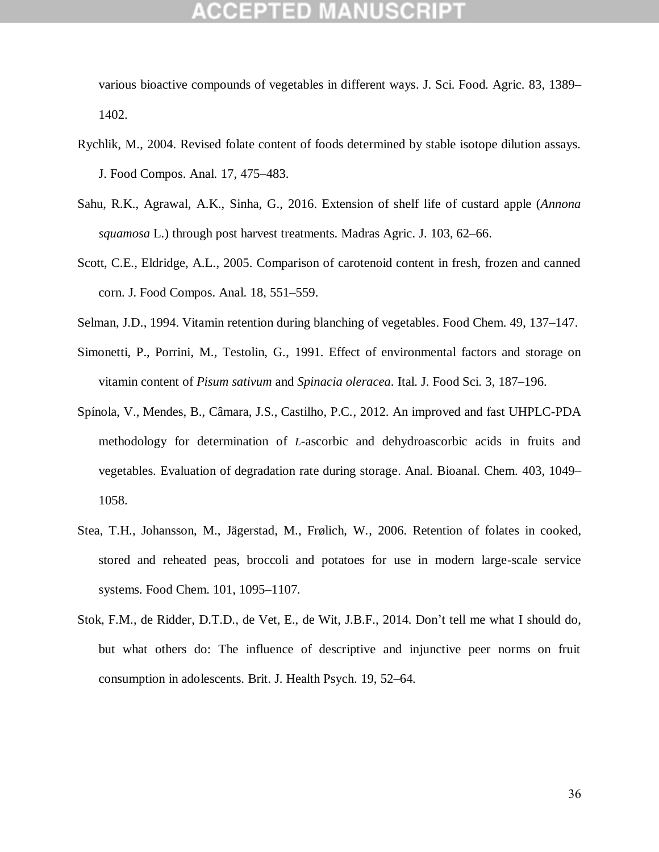various bioactive compounds of vegetables in different ways. J. Sci. Food. Agric. 83, 1389– 1402.

- Rychlik, M., 2004. Revised folate content of foods determined by stable isotope dilution assays. J. Food Compos. Anal. 17, 475–483.
- Sahu, R.K., Agrawal, A.K., Sinha, G., 2016. Extension of shelf life of custard apple (*Annona squamosa* L.) through post harvest treatments. Madras Agric. J. 103, 62–66.
- Scott, C.E., Eldridge, A.L., 2005. Comparison of carotenoid content in fresh, frozen and canned corn. J. Food Compos. Anal. 18, 551–559.
- Selman, J.D., 1994. Vitamin retention during blanching of vegetables. Food Chem. 49, 137–147.
- Simonetti, P., Porrini, M., Testolin, G., 1991. Effect of environmental factors and storage on vitamin content of *Pisum sativum* and *Spinacia oleracea*. Ital. J. Food Sci. 3, 187–196.
- Spínola, V., Mendes, B., Câmara, J.S., Castilho, P.C., 2012. An improved and fast UHPLC-PDA methodology for determination of *L*-ascorbic and dehydroascorbic acids in fruits and vegetables. Evaluation of degradation rate during storage. Anal. Bioanal. Chem. 403, 1049– 1058.
- Stea, T.H., Johansson, M., Jägerstad, M., Frølich, W., 2006. Retention of folates in cooked, stored and reheated peas, broccoli and potatoes for use in modern large-scale service systems. Food Chem. 101, 1095–1107.
- Stok, F.M., de Ridder, D.T.D., de Vet, E., de Wit, J.B.F., 2014. Don't tell me what I should do, but what others do: The influence of descriptive and injunctive peer norms on fruit consumption in adolescents. Brit. J. Health Psych. 19, 52–64.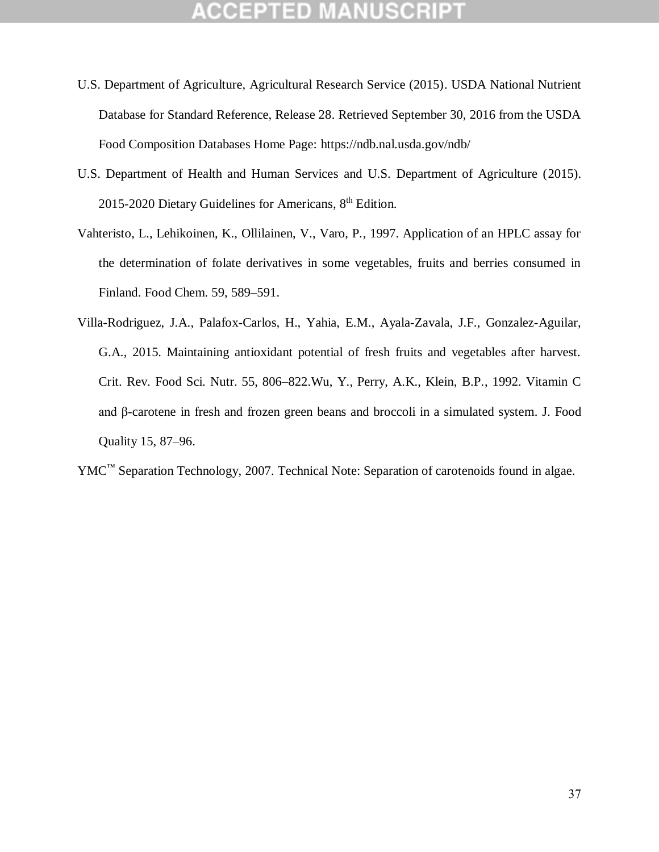- U.S. Department of Agriculture, Agricultural Research Service (2015). USDA National Nutrient Database for Standard Reference, Release 28. Retrieved September 30, 2016 from the USDA Food Composition Databases Home Page: https://ndb.nal.usda.gov/ndb/
- U.S. Department of Health and Human Services and U.S. Department of Agriculture (2015). 2015-2020 Dietary Guidelines for Americans, 8<sup>th</sup> Edition.
- Vahteristo, L., Lehikoinen, K., Ollilainen, V., Varo, P., 1997. Application of an HPLC assay for the determination of folate derivatives in some vegetables, fruits and berries consumed in Finland. Food Chem. 59, 589–591.
- Villa-Rodriguez, J.A., Palafox-Carlos, H., Yahia, E.M., Ayala-Zavala, J.F., Gonzalez-Aguilar, G.A., 2015. Maintaining antioxidant potential of fresh fruits and vegetables after harvest. Crit. Rev. Food Sci. Nutr. 55, 806–822.Wu, Y., Perry, A.K., Klein, B.P., 1992. Vitamin C and β-carotene in fresh and frozen green beans and broccoli in a simulated system. J. Food Quality 15, 87–96.
- YMC<sup>™</sup> Separation Technology, 2007. Technical Note: Separation of carotenoids found in algae.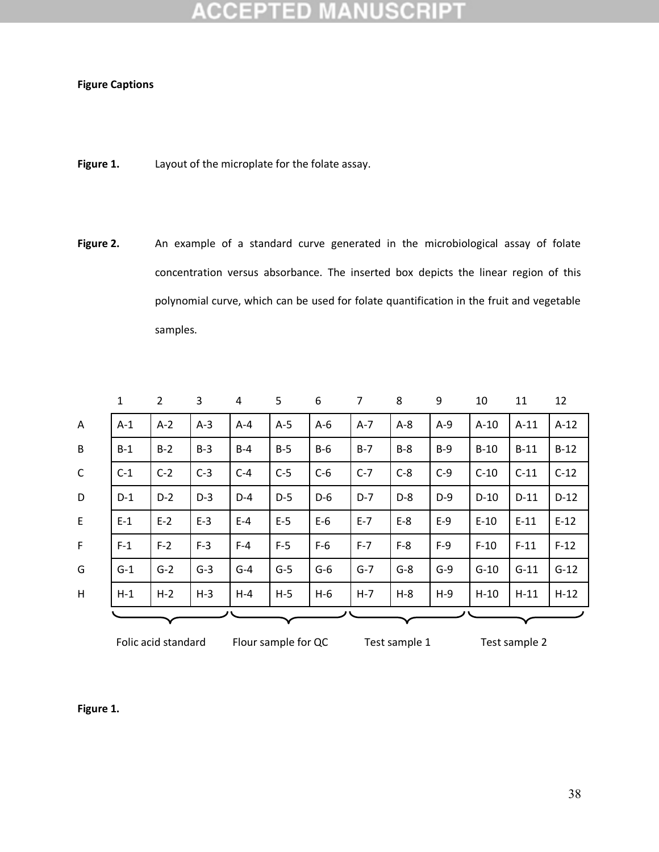#### D Ţ0

### **Figure Captions**

- **Figure 1.** Layout of the microplate for the folate assay.
- Figure 2. An example of a standard curve generated in the microbiological assay of folate concentration versus absorbance. The inserted box depicts the linear region of this polynomial curve, which can be used for folate quantification in the fruit and vegetable samples.

|              | $\mathbf{1}$ | 2     | 3     | 4       | 5     | 6     | $\overline{7}$ | 8     | 9     | 10     | 11     | 12     |
|--------------|--------------|-------|-------|---------|-------|-------|----------------|-------|-------|--------|--------|--------|
| $\mathsf{A}$ | $A-1$        | $A-2$ | $A-3$ | $A - 4$ | $A-5$ | $A-6$ | $A-7$          | $A-8$ | $A-9$ | $A-10$ | $A-11$ | $A-12$ |
| B            | $B-1$        | $B-2$ | $B-3$ | $B-4$   | $B-5$ | $B-6$ | $B-7$          | $B-8$ | $B-9$ | $B-10$ | $B-11$ | $B-12$ |
| $\mathsf{C}$ | $C-1$        | $C-2$ | $C-3$ | $C-4$   | $C-5$ | $C-6$ | $C-7$          | $C-8$ | $C-9$ | $C-10$ | $C-11$ | $C-12$ |
| D            | $D-1$        | $D-2$ | $D-3$ | $D-4$   | $D-5$ | $D-6$ | $D-7$          | $D-8$ | $D-9$ | $D-10$ | $D-11$ | $D-12$ |
| E            | $E-1$        | $E-2$ | $E-3$ | $E-4$   | $E-5$ | $E-6$ | $E - 7$        | $E-8$ | $E-9$ | $E-10$ | $E-11$ | $E-12$ |
| $\mathsf{F}$ | $F-1$        | $F-2$ | $F-3$ | $F-4$   | $F-5$ | $F-6$ | $F-7$          | $F-8$ | $F-9$ | $F-10$ | $F-11$ | $F-12$ |
| G            | $G-1$        | $G-2$ | $G-3$ | $G-4$   | $G-5$ | $G-6$ | $G-7$          | $G-8$ | $G-9$ | $G-10$ | $G-11$ | $G-12$ |
| H            | $H-1$        | $H-2$ | $H-3$ | $H - 4$ | $H-5$ | $H-6$ | $H - 7$        | $H-8$ | $H-9$ | $H-10$ | $H-11$ | $H-12$ |
|              |              |       |       |         |       |       |                |       |       |        |        |        |

Folic acid standard Flour sample for QC Test sample 1 Test sample 2

**Figure 1.**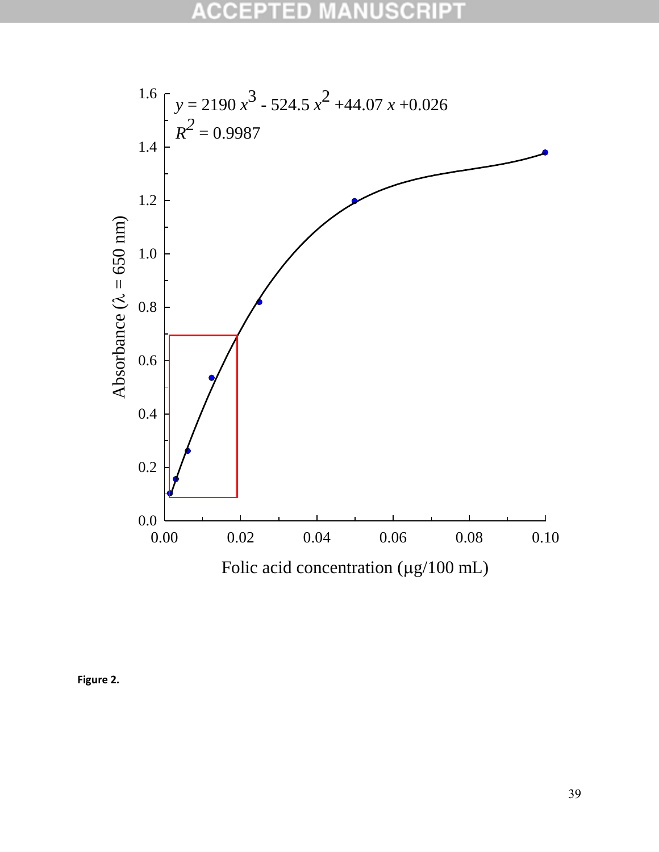

**Figure 2.**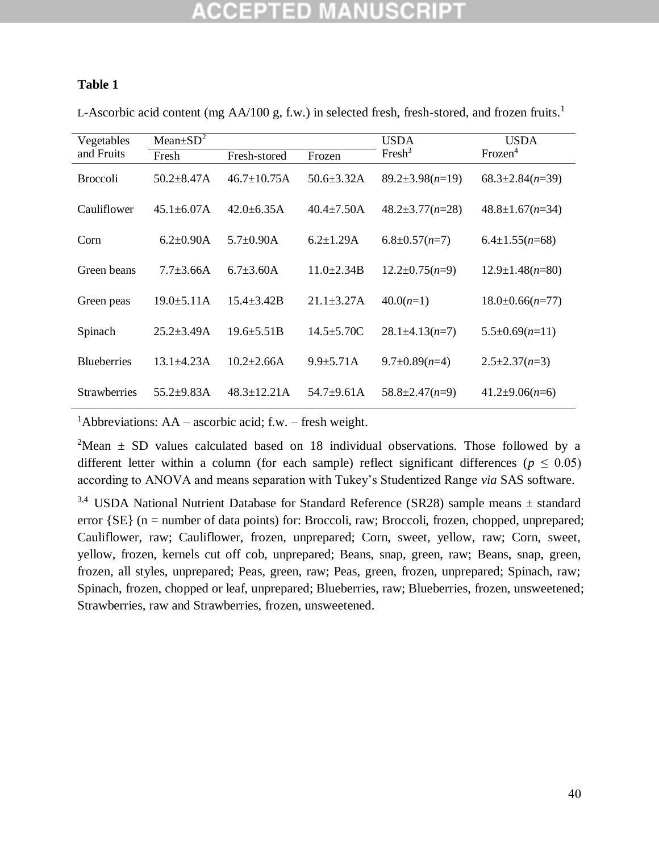### **Table 1**

L-Ascorbic acid content (mg AA/100 g, f.w.) in selected fresh, fresh-stored, and frozen fruits.<sup>1</sup>

| Vegetables          | Mean $\pm SD^2$   |                    |                   | <b>USDA</b>           | <b>USDA</b><br>Frozen <sup>4</sup> |  |
|---------------------|-------------------|--------------------|-------------------|-----------------------|------------------------------------|--|
| and Fruits          | Fresh             | Fresh-stored       | Frozen            | Fresh <sup>3</sup>    |                                    |  |
| <b>Broccoli</b>     | $50.2 \pm 8.47$ A | $46.7 \pm 10.75$ A | $50.6 \pm 3.32$ A | $89.2 \pm 3.98(n=19)$ | $68.3 \pm 2.84(n=39)$              |  |
| Cauliflower         | $45.1 \pm 6.07$ A | $42.0 \pm 6.35$ A  | $40.4 \pm 7.50$ A | $48.2 \pm 3.77(n=28)$ | $48.8 \pm 1.67(n=34)$              |  |
| Corn                | $6.2 \pm 0.90$ A  | $5.7 \pm 0.90$ A   | $6.2 \pm 1.29$ A  | $6.8 \pm 0.57(n=7)$   | $6.4 \pm 1.55(n=68)$               |  |
| Green beans         | $7.7 + 3.66A$     | $6.7 \pm 3.60$ A   | $11.0 \pm 2.34 B$ | $12.2 \pm 0.75(n=9)$  | $12.9 \pm 1.48(n=80)$              |  |
| Green peas          | $19.0 \pm 5.11$ A | $15.4 \pm 3.42B$   | $21.1 \pm 3.27$ A | $40.0(n=1)$           | $18.0 \pm 0.66(n=77)$              |  |
| Spinach             | $25.2 \pm 3.49$ A | $19.6 \pm 5.51B$   | $14.5 \pm 5.70$ C | $28.1 \pm 4.13(n=7)$  | $5.5\pm0.69(n=11)$                 |  |
| <b>Blueberries</b>  | $13.1 + 4.23A$    | $10.2 \pm 2.66$ A  | $9.9 \pm 5.71$ A  | $9.7 \pm 0.89(n=4)$   | $2.5 \pm 2.37(n=3)$                |  |
| <b>Strawberries</b> | $55.2+9.83A$      | $48.3 \pm 12.21$ A | $54.7+9.61A$      | $58.8 \pm 2.47(n=9)$  | $41.2 \pm 9.06(n=6)$               |  |

<sup>1</sup>Abbreviations:  $AA$  – ascorbic acid; f.w. – fresh weight.

<sup>2</sup>Mean  $\pm$  SD values calculated based on 18 individual observations. Those followed by a different letter within a column (for each sample) reflect significant differences ( $p \le 0.05$ ) according to ANOVA and means separation with Tukey's Studentized Range *via* SAS software.

<sup>3,4</sup> USDA National Nutrient Database for Standard Reference (SR28) sample means  $\pm$  standard error  ${SE}$  (n = number of data points) for: Broccoli, raw; Broccoli, frozen, chopped, unprepared; Cauliflower, raw; Cauliflower, frozen, unprepared; Corn, sweet, yellow, raw; Corn, sweet, yellow, frozen, kernels cut off cob, unprepared; Beans, snap, green, raw; Beans, snap, green, frozen, all styles, unprepared; Peas, green, raw; Peas, green, frozen, unprepared; Spinach, raw; Spinach, frozen, chopped or leaf, unprepared; Blueberries, raw; Blueberries, frozen, unsweetened; Strawberries, raw and Strawberries, frozen, unsweetened.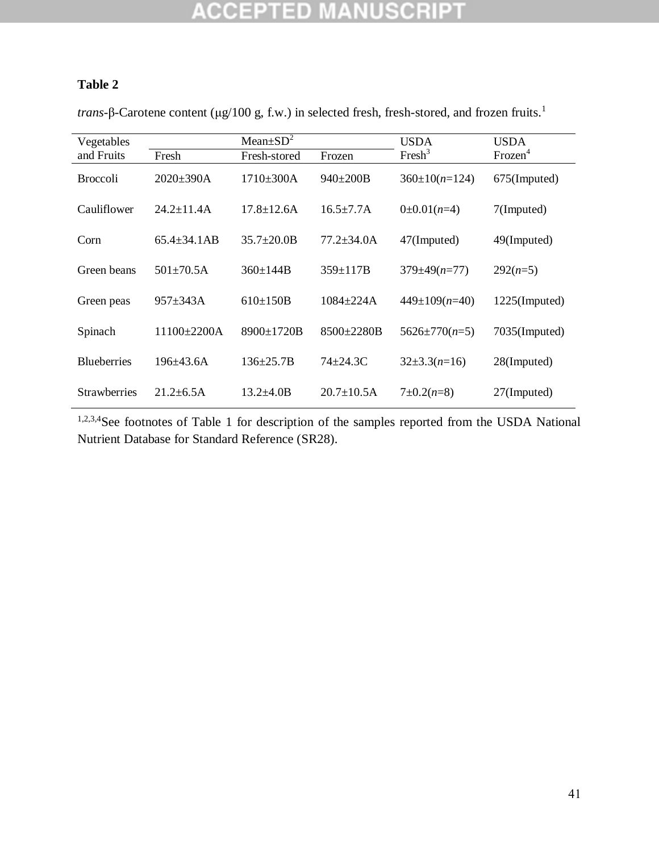# **ACCEPTED MANUSCRIPT**

### **Table 2**

*trans*-β-Carotene content (μg/100 g, f.w.) in selected fresh, fresh-stored, and frozen fruits.<sup>1</sup>

| Vegetables          |                    | Mean $\pm SD^2$   | <b>USDA</b>       | USDA                |                     |  |
|---------------------|--------------------|-------------------|-------------------|---------------------|---------------------|--|
| and Fruits          | Fresh              |                   | Frozen            | Fresh <sup>3</sup>  | Frozen <sup>4</sup> |  |
| <b>Broccoli</b>     | $2020 \pm 390A$    | $1710\pm300A$     | $940 \pm 200B$    | $360 \pm 10(n=124)$ | 675(Imputed)        |  |
| Cauliflower         | $24.2 \pm 11.4$ A  | $17.8 \pm 12.6$ A | $16.5 \pm 7.7$ A  | $0\pm 0.01(n=4)$    | 7(Imputed)          |  |
| Corn                | $65.4 \pm 34.1AB$  | $35.7 \pm 20.0 B$ | $77.2 \pm 34.0$ A | 47(Imputed)         | 49(Imputed)         |  |
| Green beans         | $501 \pm 70.5$ A   | $360 \pm 144B$    | $359 \pm 117B$    | $379 \pm 49(n=77)$  | $292(n=5)$          |  |
| Green peas          | $957 \pm 343$ A    | $610\pm150B$      | $1084 + 224A$     | $449 \pm 109(n=40)$ | 1225(Imputed)       |  |
| Spinach             | $11100 \pm 2200$ A | $8900 \pm 1720B$  | $8500 \pm 2280B$  | $5626 \pm 770(n=5)$ | 7035(Imputed)       |  |
| <b>Blueberries</b>  | $196 + 43.6A$      | $136 + 25.7B$     | $74 \pm 24.3$ C   | $32\pm3.3(n=16)$    | 28(Imputed)         |  |
| <b>Strawberries</b> | $21.2 \pm 6.5$ A   | $13.2 \pm 4.0 B$  | $20.7 \pm 10.5$ A | $7\pm0.2(n=8)$      | 27(Imputed)         |  |

<sup>1,2,3,4</sup>See footnotes of Table 1 for description of the samples reported from the USDA National Nutrient Database for Standard Reference (SR28).